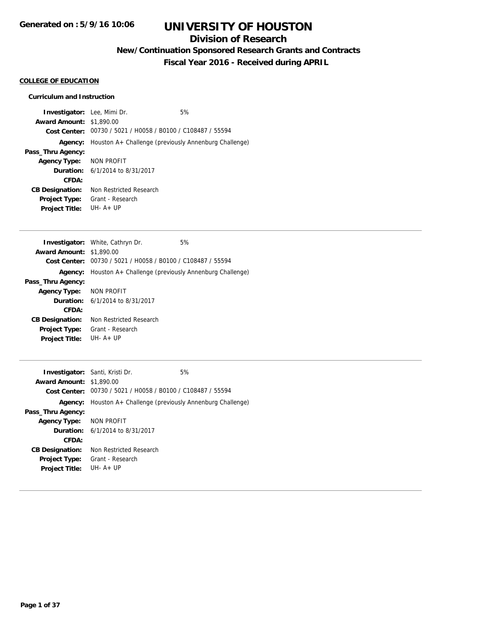## **Division of Research**

**New/Continuation Sponsored Research Grants and Contracts**

**Fiscal Year 2016 - Received during APRIL**

## **COLLEGE OF EDUCATION**

### **Curriculum and Instruction**

| <b>Investigator:</b> Lee, Mimi Dr.<br><b>Award Amount: \$1,890.00</b><br>Cost Center: | 00730 / 5021 / H0058 / B0100 / C108487 / 55594        | 5% |
|---------------------------------------------------------------------------------------|-------------------------------------------------------|----|
| Agency:                                                                               | Houston A+ Challenge (previously Annenburg Challenge) |    |
| Pass_Thru Agency:                                                                     |                                                       |    |
| <b>Agency Type:</b>                                                                   | NON PROFIT                                            |    |
|                                                                                       | <b>Duration:</b> 6/1/2014 to 8/31/2017                |    |
| <b>CFDA:</b>                                                                          |                                                       |    |
| <b>CB Designation:</b>                                                                | Non Restricted Research                               |    |
| Project Type:                                                                         | Grant - Research                                      |    |
| <b>Project Title:</b>                                                                 | UH- $A+UP$                                            |    |
|                                                                                       |                                                       |    |
|                                                                                       | <b>Investigator:</b> White, Cathryn Dr.               | 5% |
| Award Amount: $$1,890,00$                                                             |                                                       |    |

| <b>Award Amount: \$1,890.00</b> |                                                       |
|---------------------------------|-------------------------------------------------------|
| Cost Center:                    | 00730 / 5021 / H0058 / B0100 / C108487 / 55594        |
| Agency:                         | Houston A+ Challenge (previously Annenburg Challenge) |
| Pass_Thru Agency:               |                                                       |
| Agency Type: NON PROFIT         |                                                       |
|                                 | <b>Duration:</b> $6/1/2014$ to $8/31/2017$            |
| CFDA:                           |                                                       |
| <b>CB Designation:</b>          | Non Restricted Research                               |
| <b>Project Type:</b>            | Grant - Research                                      |
| <b>Project Title:</b>           | $I$ JH-A+IJP                                          |

|                                 | <b>Investigator:</b> Santi, Kristi Dr.                        | 5% |
|---------------------------------|---------------------------------------------------------------|----|
| <b>Award Amount: \$1,890.00</b> |                                                               |    |
| Cost Center:                    | 00730 / 5021 / H0058 / B0100 / C108487 / 55594                |    |
|                                 | Agency: Houston A+ Challenge (previously Annenburg Challenge) |    |
| Pass_Thru Agency:               |                                                               |    |
| Agency Type: NON PROFIT         |                                                               |    |
|                                 | <b>Duration:</b> $6/1/2014$ to $8/31/2017$                    |    |
| CFDA:                           |                                                               |    |
| <b>CB Designation:</b>          | Non Restricted Research                                       |    |
| <b>Project Type:</b>            | Grant - Research                                              |    |
| <b>Project Title:</b>           | $I.H. A + IIP$                                                |    |
|                                 |                                                               |    |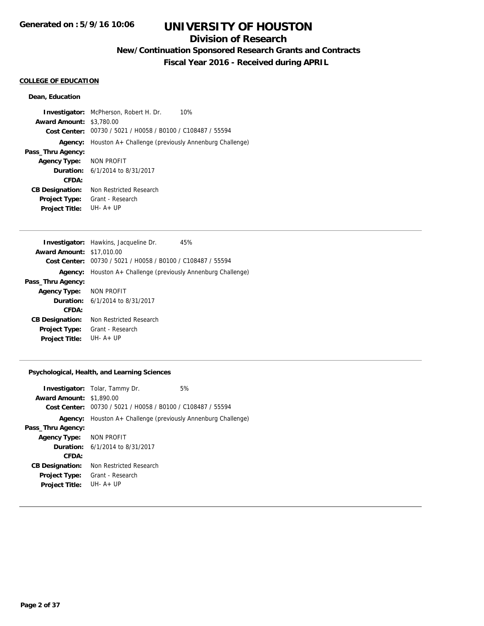## **Division of Research**

**New/Continuation Sponsored Research Grants and Contracts**

**Fiscal Year 2016 - Received during APRIL**

#### **COLLEGE OF EDUCATION**

#### **Dean, Education**

**Investigator:** McPherson, Robert H. Dr. 10% **Award Amount:** \$3,780.00 **Cost Center:** 00730 / 5021 / H0058 / B0100 / C108487 / 55594 **Agency:** Houston A+ Challenge (previously Annenburg Challenge) **Pass\_Thru Agency: Agency Type:** NON PROFIT **Duration:** 6/1/2014 to 8/31/2017 **CFDA: CB Designation:** Non Restricted Research **Project Type:** Grant - Research **Project Title:** UH- A+ UP

|                                  | <b>Investigator:</b> Hawkins, Jacqueline Dr.<br>45%           |  |
|----------------------------------|---------------------------------------------------------------|--|
| <b>Award Amount: \$17,010.00</b> |                                                               |  |
| Cost Center:                     | 00730 / 5021 / H0058 / B0100 / C108487 / 55594                |  |
|                                  | Agency: Houston A+ Challenge (previously Annenburg Challenge) |  |
| Pass_Thru Agency:                |                                                               |  |
| Agency Type: NON PROFIT          |                                                               |  |
|                                  | <b>Duration:</b> 6/1/2014 to 8/31/2017                        |  |
| CFDA:                            |                                                               |  |
| <b>CB Designation:</b>           | Non Restricted Research                                       |  |
| <b>Project Type:</b>             | Grant - Research                                              |  |
| <b>Project Title:</b>            | $I.H. A + IIP$                                                |  |
|                                  |                                                               |  |

#### **Psychological, Health, and Learning Sciences**

| <b>Award Amount: \$1,890.00</b> | <b>Investigator:</b> Tolar, Tammy Dr.<br>Cost Center: 00730 / 5021 / H0058 / B0100 / C108487 / 55594 | 5% |
|---------------------------------|------------------------------------------------------------------------------------------------------|----|
| Agency:                         | Houston A+ Challenge (previously Annenburg Challenge)                                                |    |
| Pass_Thru Agency:               |                                                                                                      |    |
| Agency Type: NON PROFIT         |                                                                                                      |    |
|                                 | <b>Duration:</b> $6/1/2014$ to $8/31/2017$                                                           |    |
| CFDA:                           |                                                                                                      |    |
| <b>CB Designation:</b>          | Non Restricted Research                                                                              |    |
| <b>Project Type:</b>            | Grant - Research                                                                                     |    |
| <b>Project Title:</b>           | $IJIH - A + IJP$                                                                                     |    |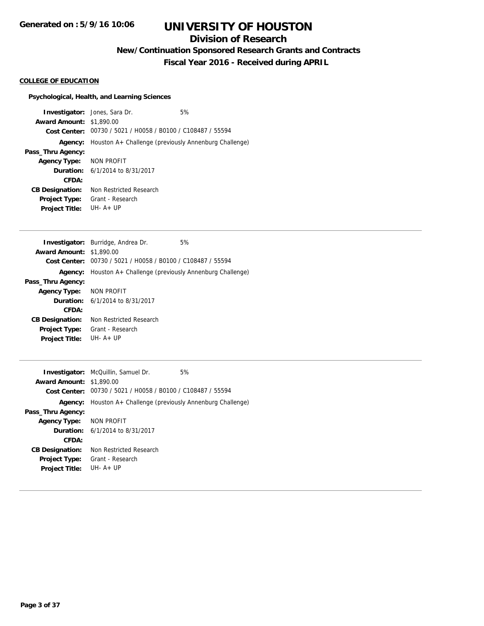## **Division of Research**

**New/Continuation Sponsored Research Grants and Contracts**

**Fiscal Year 2016 - Received during APRIL**

## **COLLEGE OF EDUCATION**

## **Psychological, Health, and Learning Sciences**

|                                 | <b>Investigator:</b> Jones, Sara Dr.                                    | 5% |
|---------------------------------|-------------------------------------------------------------------------|----|
|                                 |                                                                         |    |
| <b>Award Amount: \$1,890.00</b> |                                                                         |    |
|                                 | Cost Center: 00730 / 5021 / H0058 / B0100 / C108487 / 55594             |    |
|                                 | <b>Agency:</b> Houston $A$ + Challenge (previously Annenburg Challenge) |    |
| Pass_Thru Agency:               |                                                                         |    |
| Agency Type: NON PROFIT         |                                                                         |    |
|                                 | <b>Duration:</b> $6/1/2014$ to $8/31/2017$                              |    |
| CFDA:                           |                                                                         |    |
| <b>CB Designation:</b>          | Non Restricted Research                                                 |    |
| Project Type:                   | Grant - Research                                                        |    |
| <b>Project Title:</b>           | $I$ JH-A+IJP                                                            |    |

|                                 | Investigator: Burridge, Andrea Dr.                    | 5% |
|---------------------------------|-------------------------------------------------------|----|
| <b>Award Amount: \$1,890.00</b> |                                                       |    |
| Cost Center:                    | 00730 / 5021 / H0058 / B0100 / C108487 / 55594        |    |
| Agency:                         | Houston A+ Challenge (previously Annenburg Challenge) |    |
| Pass_Thru Agency:               |                                                       |    |
| Agency Type: NON PROFIT         |                                                       |    |
|                                 | <b>Duration:</b> 6/1/2014 to 8/31/2017                |    |
| CFDA:                           |                                                       |    |
| <b>CB Designation:</b>          | Non Restricted Research                               |    |
| <b>Project Type:</b>            | Grant - Research                                      |    |
| <b>Project Title:</b>           | $IJIH - A + IJP$                                      |    |

|                                 | <b>Investigator:</b> McQuillin, Samuel Dr.                    | 5% |
|---------------------------------|---------------------------------------------------------------|----|
| <b>Award Amount: \$1,890.00</b> |                                                               |    |
|                                 | Cost Center: 00730 / 5021 / H0058 / B0100 / C108487 / 55594   |    |
|                                 | Agency: Houston A+ Challenge (previously Annenburg Challenge) |    |
| Pass_Thru Agency:               |                                                               |    |
| <b>Agency Type:</b>             | NON PROFIT                                                    |    |
|                                 | <b>Duration:</b> $6/1/2014$ to $8/31/2017$                    |    |
| CFDA:                           |                                                               |    |
| <b>CB Designation:</b>          | Non Restricted Research                                       |    |
| <b>Project Type:</b>            | Grant - Research                                              |    |
| <b>Project Title:</b>           | $IJIH - A + IJP$                                              |    |
|                                 |                                                               |    |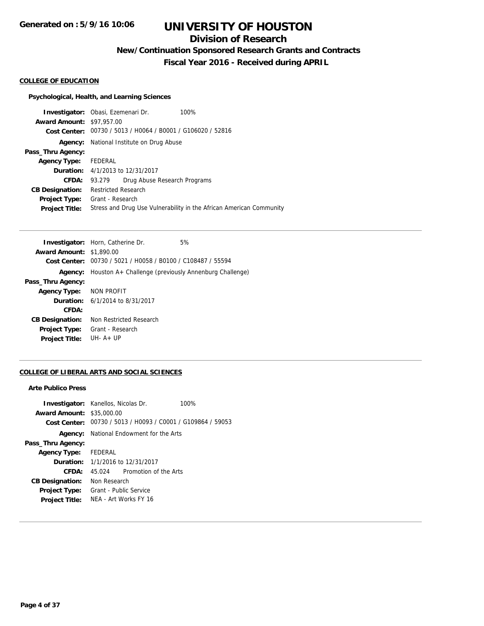## **Division of Research**

**New/Continuation Sponsored Research Grants and Contracts**

**Fiscal Year 2016 - Received during APRIL**

#### **COLLEGE OF EDUCATION**

## **Psychological, Health, and Learning Sciences**

|                                  | Investigator: Obasi, Ezemenari Dr.<br>100%                          |
|----------------------------------|---------------------------------------------------------------------|
| <b>Award Amount: \$97,957.00</b> |                                                                     |
|                                  | Cost Center: 00730 / 5013 / H0064 / B0001 / G106020 / 52816         |
| Agency:                          | National Institute on Drug Abuse                                    |
| Pass_Thru Agency:                |                                                                     |
| Agency Type: FEDERAL             |                                                                     |
|                                  | <b>Duration:</b> 4/1/2013 to 12/31/2017                             |
| CFDA:                            | Drug Abuse Research Programs<br>93.279                              |
| <b>CB Designation:</b>           | Restricted Research                                                 |
| <b>Project Type:</b>             | Grant - Research                                                    |
| <b>Project Title:</b>            | Stress and Drug Use Vulnerability in the African American Community |
|                                  |                                                                     |

|                         | 5%                                                                                                                                                                                                                                                                                   |
|-------------------------|--------------------------------------------------------------------------------------------------------------------------------------------------------------------------------------------------------------------------------------------------------------------------------------|
|                         |                                                                                                                                                                                                                                                                                      |
|                         |                                                                                                                                                                                                                                                                                      |
|                         |                                                                                                                                                                                                                                                                                      |
|                         |                                                                                                                                                                                                                                                                                      |
|                         |                                                                                                                                                                                                                                                                                      |
|                         |                                                                                                                                                                                                                                                                                      |
|                         |                                                                                                                                                                                                                                                                                      |
| Non Restricted Research |                                                                                                                                                                                                                                                                                      |
| Grant - Research        |                                                                                                                                                                                                                                                                                      |
| $IJIH - A + IJP$        |                                                                                                                                                                                                                                                                                      |
|                         | <b>Investigator:</b> Horn, Catherine Dr.<br><b>Award Amount: \$1,890.00</b><br>Cost Center: 00730 / 5021 / H0058 / B0100 / C108487 / 55594<br>Agency: Houston A+ Challenge (previously Annenburg Challenge)<br>Agency Type: NON PROFIT<br><b>Duration:</b> $6/1/2014$ to $8/31/2017$ |

## **COLLEGE OF LIBERAL ARTS AND SOCIAL SCIENCES**

#### **Arte Publico Press**

| <b>Investigator:</b> Kanellos, Nicolas Dr.<br><b>Award Amount: \$35,000.00</b> |                        |                                                | 100%<br>Cost Center: 00730 / 5013 / H0093 / C0001 / G109864 / 59053 |
|--------------------------------------------------------------------------------|------------------------|------------------------------------------------|---------------------------------------------------------------------|
|                                                                                |                        | <b>Agency:</b> National Endowment for the Arts |                                                                     |
| Pass_Thru Agency:                                                              |                        |                                                |                                                                     |
| Agency Type: FEDERAL                                                           |                        |                                                |                                                                     |
|                                                                                |                        | <b>Duration:</b> 1/1/2016 to 12/31/2017        |                                                                     |
| CFDA:                                                                          |                        | 45.024 Promotion of the Arts                   |                                                                     |
| <b>CB Designation:</b>                                                         | Non Research           |                                                |                                                                     |
| Project Type:                                                                  | Grant - Public Service |                                                |                                                                     |
| <b>Project Title:</b>                                                          |                        | NFA - Art Works FY 16                          |                                                                     |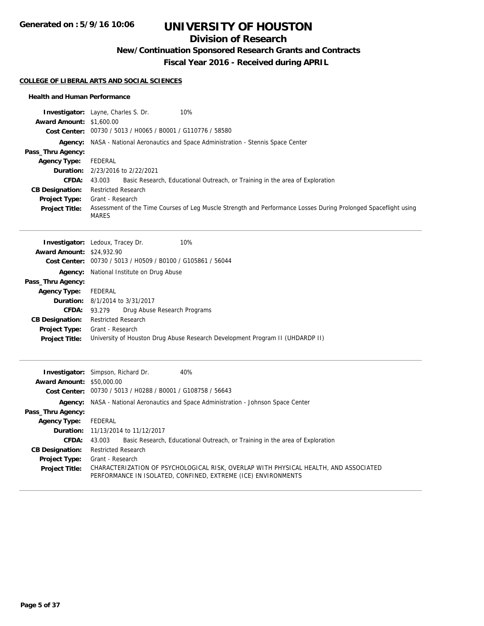**Generated on : 5/9/16 10:06**

# **UNIVERSITY OF HOUSTON**

## **Division of Research**

**New/Continuation Sponsored Research Grants and Contracts**

**Fiscal Year 2016 - Received during APRIL**

#### **COLLEGE OF LIBERAL ARTS AND SOCIAL SCIENCES**

#### **Health and Human Performance**

|                                  | Investigator: Layne, Charles S. Dr.<br>10%                                                                                                            |
|----------------------------------|-------------------------------------------------------------------------------------------------------------------------------------------------------|
| <b>Award Amount: \$1,600.00</b>  |                                                                                                                                                       |
|                                  | Cost Center: 00730 / 5013 / H0065 / B0001 / G110776 / 58580                                                                                           |
| Agency:                          | NASA - National Aeronautics and Space Administration - Stennis Space Center                                                                           |
| Pass_Thru Agency:                |                                                                                                                                                       |
| <b>Agency Type:</b>              | <b>FEDERAL</b>                                                                                                                                        |
| Duration:                        | 2/23/2016 to 2/22/2021                                                                                                                                |
| CFDA:                            | 43.003<br>Basic Research, Educational Outreach, or Training in the area of Exploration                                                                |
| <b>CB Designation:</b>           | <b>Restricted Research</b>                                                                                                                            |
| <b>Project Type:</b>             | Grant - Research                                                                                                                                      |
| <b>Project Title:</b>            | Assessment of the Time Courses of Leg Muscle Strength and Performance Losses During Prolonged Spaceflight using<br><b>MARES</b>                       |
|                                  | 10%<br><b>Investigator:</b> Ledoux, Tracey Dr.                                                                                                        |
| <b>Award Amount:</b>             | \$24,932.90                                                                                                                                           |
| <b>Cost Center:</b>              | 00730 / 5013 / H0509 / B0100 / G105861 / 56044                                                                                                        |
| Agency:                          | National Institute on Drug Abuse                                                                                                                      |
| Pass_Thru Agency:                |                                                                                                                                                       |
| <b>Agency Type:</b>              | <b>FEDERAL</b>                                                                                                                                        |
| Duration:                        | 8/1/2014 to 3/31/2017                                                                                                                                 |
| <b>CFDA:</b>                     | 93.279<br>Drug Abuse Research Programs                                                                                                                |
| <b>CB Designation:</b>           | <b>Restricted Research</b>                                                                                                                            |
| <b>Project Type:</b>             | Grant - Research                                                                                                                                      |
| <b>Project Title:</b>            | University of Houston Drug Abuse Research Development Program II (UHDARDP II)                                                                         |
|                                  | 40%<br><b>Investigator:</b> Simpson, Richard Dr.                                                                                                      |
| <b>Award Amount: \$50,000.00</b> |                                                                                                                                                       |
| <b>Cost Center:</b>              | 00730 / 5013 / H0288 / B0001 / G108758 / 56643                                                                                                        |
| Agency:                          | NASA - National Aeronautics and Space Administration - Johnson Space Center                                                                           |
| Pass_Thru Agency:                |                                                                                                                                                       |
| <b>Agency Type:</b>              | <b>FEDERAL</b>                                                                                                                                        |
| Duration:                        | 11/13/2014 to 11/12/2017                                                                                                                              |
| CFDA:                            | 43.003<br>Basic Research, Educational Outreach, or Training in the area of Exploration                                                                |
| <b>CB Designation:</b>           | <b>Restricted Research</b>                                                                                                                            |
| <b>Project Type:</b>             | Grant - Research                                                                                                                                      |
| <b>Project Title:</b>            | CHARACTERIZATION OF PSYCHOLOGICAL RISK, OVERLAP WITH PHYSICAL HEALTH, AND ASSOCIATED<br>PERFORMANCE IN ISOLATED, CONFINED, EXTREME (ICE) ENVIRONMENTS |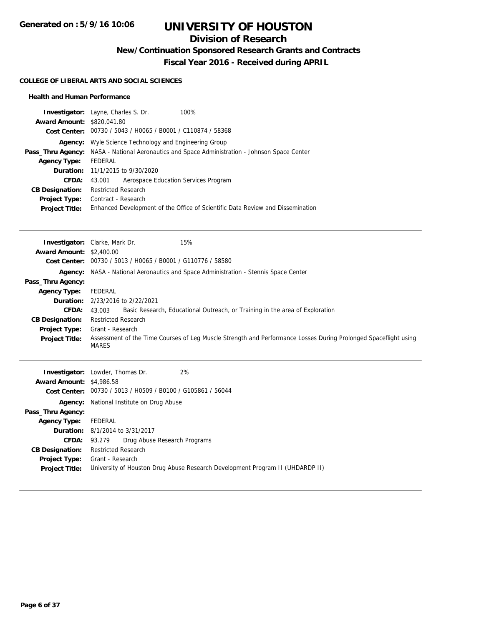## **Division of Research**

**New/Continuation Sponsored Research Grants and Contracts**

**Fiscal Year 2016 - Received during APRIL**

#### **COLLEGE OF LIBERAL ARTS AND SOCIAL SCIENCES**

#### **Health and Human Performance**

| <b>Award Amount: \$820,041.80</b><br><b>Agency Type:</b><br>Duration:<br>CFDA:<br><b>CB Designation:</b><br>Project Type:<br><b>Project Title:</b>                           | Investigator: Layne, Charles S. Dr.<br>100%<br>Cost Center: 00730 / 5043 / H0065 / B0001 / C110874 / 58368<br><b>Agency:</b> Wyle Science Technology and Engineering Group<br>Pass_Thru Agency: NASA - National Aeronautics and Space Administration - Johnson Space Center<br><b>FEDERAL</b><br>11/1/2015 to 9/30/2020<br>43.001<br>Aerospace Education Services Program<br><b>Restricted Research</b><br>Contract - Research<br>Enhanced Development of the Office of Scientific Data Review and Dissemination                        |
|------------------------------------------------------------------------------------------------------------------------------------------------------------------------------|-----------------------------------------------------------------------------------------------------------------------------------------------------------------------------------------------------------------------------------------------------------------------------------------------------------------------------------------------------------------------------------------------------------------------------------------------------------------------------------------------------------------------------------------|
| Award Amount: \$2,400.00<br>Pass_Thru Agency:<br><b>Agency Type:</b><br>CFDA:<br><b>CB Designation:</b><br><b>Project Type:</b><br><b>Project Title:</b>                     | 15%<br><b>Investigator:</b> Clarke, Mark Dr.<br>Cost Center: 00730 / 5013 / H0065 / B0001 / G110776 / 58580<br>Agency: NASA - National Aeronautics and Space Administration - Stennis Space Center<br><b>FEDERAL</b><br>Duration: 2/23/2016 to 2/22/2021<br>43.003<br>Basic Research, Educational Outreach, or Training in the area of Exploration<br><b>Restricted Research</b><br>Grant - Research<br>Assessment of the Time Courses of Leg Muscle Strength and Performance Losses During Prolonged Spaceflight using<br><b>MARES</b> |
| <b>Award Amount: \$4,986.58</b><br>Pass_Thru Agency:<br><b>Agency Type:</b><br>Duration:<br>CFDA:<br><b>CB Designation:</b><br><b>Project Type:</b><br><b>Project Title:</b> | 2%<br>Investigator: Lowder, Thomas Dr.<br>Cost Center: 00730 / 5013 / H0509 / B0100 / G105861 / 56044<br>Agency: National Institute on Drug Abuse<br>FEDERAL<br>8/1/2014 to 3/31/2017<br>93.279<br>Drug Abuse Research Programs<br><b>Restricted Research</b><br>Grant - Research<br>University of Houston Drug Abuse Research Development Program II (UHDARDP II)                                                                                                                                                                      |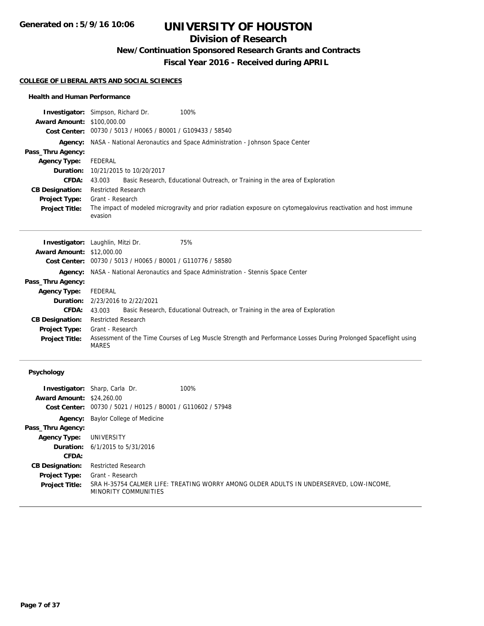**Generated on : 5/9/16 10:06**

# **UNIVERSITY OF HOUSTON**

## **Division of Research**

**New/Continuation Sponsored Research Grants and Contracts**

**Fiscal Year 2016 - Received during APRIL**

#### **COLLEGE OF LIBERAL ARTS AND SOCIAL SCIENCES**

#### **Health and Human Performance**

|                                   | <b>Investigator:</b> Simpson, Richard Dr.<br>100%                                                                          |  |
|-----------------------------------|----------------------------------------------------------------------------------------------------------------------------|--|
| <b>Award Amount: \$100,000.00</b> |                                                                                                                            |  |
|                                   | Cost Center: 00730 / 5013 / H0065 / B0001 / G109433 / 58540                                                                |  |
|                                   | Agency: NASA - National Aeronautics and Space Administration - Johnson Space Center                                        |  |
| Pass_Thru Agency:                 |                                                                                                                            |  |
| <b>Agency Type:</b>               | FEDERAL                                                                                                                    |  |
| Duration:                         | 10/21/2015 to 10/20/2017                                                                                                   |  |
| <b>CFDA:</b>                      | Basic Research, Educational Outreach, or Training in the area of Exploration<br>43.003                                     |  |
| <b>CB Designation:</b>            | <b>Restricted Research</b>                                                                                                 |  |
| <b>Project Type:</b>              | Grant - Research                                                                                                           |  |
| <b>Project Title:</b>             | The impact of modeled microgravity and prior radiation exposure on cytomegalovirus reactivation and host immune<br>evasion |  |
|                                   |                                                                                                                            |  |
|                                   | 7EQ<br>$l$ muse time term to unblin $M+1$ .                                                                                |  |

|                                  | <b>Investigator:</b> Laughlin, Mitzi Dr.                                                   | 75%                                                                                                             |  |
|----------------------------------|--------------------------------------------------------------------------------------------|-----------------------------------------------------------------------------------------------------------------|--|
| <b>Award Amount: \$12,000.00</b> |                                                                                            |                                                                                                                 |  |
|                                  | Cost Center: 00730 / 5013 / H0065 / B0001 / G110776 / 58580                                |                                                                                                                 |  |
|                                  | <b>Agency:</b> NASA - National Aeronautics and Space Administration - Stennis Space Center |                                                                                                                 |  |
| Pass_Thru Agency:                |                                                                                            |                                                                                                                 |  |
| <b>Agency Type:</b>              | FEDERAL                                                                                    |                                                                                                                 |  |
|                                  | <b>Duration:</b> 2/23/2016 to 2/22/2021                                                    |                                                                                                                 |  |
| <b>CFDA:</b>                     | 43.003                                                                                     | Basic Research, Educational Outreach, or Training in the area of Exploration                                    |  |
| <b>CB Designation:</b>           | <b>Restricted Research</b>                                                                 |                                                                                                                 |  |
| <b>Project Type:</b>             | Grant - Research                                                                           |                                                                                                                 |  |
| <b>Project Title:</b>            | <b>MARES</b>                                                                               | Assessment of the Time Courses of Leg Muscle Strength and Performance Losses During Prolonged Spaceflight using |  |

## **Psychology**

| <b>Award Amount: \$24,260.00</b> | <b>Investigator:</b> Sharp, Carla Dr.<br>Cost Center: 00730 / 5021 / H0125 / B0001 / G110602 / 57948 | 100%                                                                                   |
|----------------------------------|------------------------------------------------------------------------------------------------------|----------------------------------------------------------------------------------------|
|                                  |                                                                                                      |                                                                                        |
|                                  | <b>Agency:</b> Baylor College of Medicine                                                            |                                                                                        |
| Pass_Thru Agency:                |                                                                                                      |                                                                                        |
| <b>Agency Type:</b>              | UNIVERSITY                                                                                           |                                                                                        |
|                                  | <b>Duration:</b> $6/1/2015$ to $5/31/2016$                                                           |                                                                                        |
| CFDA:                            |                                                                                                      |                                                                                        |
| <b>CB Designation:</b>           | <b>Restricted Research</b>                                                                           |                                                                                        |
| <b>Project Type:</b>             | Grant - Research                                                                                     |                                                                                        |
| <b>Project Title:</b>            | MINORITY COMMUNITIES                                                                                 | SRA H-35754 CALMER LIFE: TREATING WORRY AMONG OLDER ADULTS IN UNDERSERVED, LOW-INCOME, |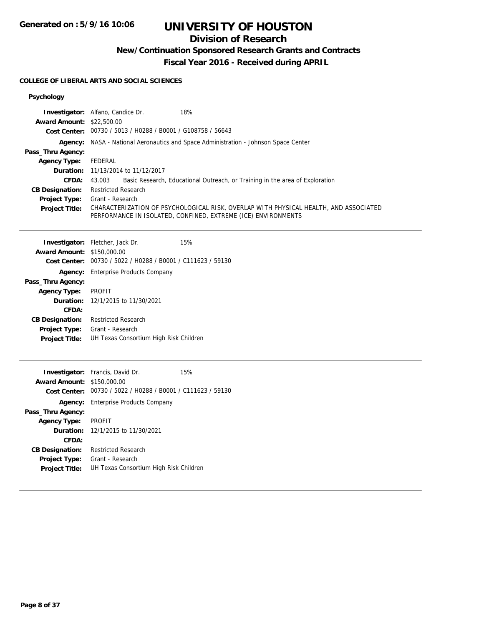**Generated on : 5/9/16 10:06**

# **UNIVERSITY OF HOUSTON**

## **Division of Research**

**New/Continuation Sponsored Research Grants and Contracts**

**Fiscal Year 2016 - Received during APRIL**

#### **COLLEGE OF LIBERAL ARTS AND SOCIAL SCIENCES**

## **Psychology**

|                                   | Investigator: Alfano, Candice Dr.<br>18%                                                                   |  |  |
|-----------------------------------|------------------------------------------------------------------------------------------------------------|--|--|
| <b>Award Amount: \$22,500.00</b>  |                                                                                                            |  |  |
|                                   | Cost Center: 00730 / 5013 / H0288 / B0001 / G108758 / 56643                                                |  |  |
| Agency:                           | NASA - National Aeronautics and Space Administration - Johnson Space Center                                |  |  |
| Pass_Thru Agency:                 |                                                                                                            |  |  |
| <b>Agency Type:</b>               | <b>FEDERAL</b>                                                                                             |  |  |
| Duration:<br>CFDA:                | 11/13/2014 to 11/12/2017<br>43.003                                                                         |  |  |
| <b>CB Designation:</b>            | Basic Research, Educational Outreach, or Training in the area of Exploration<br><b>Restricted Research</b> |  |  |
| <b>Project Type:</b>              | Grant - Research                                                                                           |  |  |
| <b>Project Title:</b>             | CHARACTERIZATION OF PSYCHOLOGICAL RISK, OVERLAP WITH PHYSICAL HEALTH, AND ASSOCIATED                       |  |  |
|                                   | PERFORMANCE IN ISOLATED, CONFINED, EXTREME (ICE) ENVIRONMENTS                                              |  |  |
|                                   |                                                                                                            |  |  |
|                                   | 15%<br>Investigator: Fletcher, Jack Dr.                                                                    |  |  |
| <b>Award Amount: \$150,000.00</b> |                                                                                                            |  |  |
| <b>Cost Center:</b>               | 00730 / 5022 / H0288 / B0001 / C111623 / 59130                                                             |  |  |
|                                   | <b>Agency:</b> Enterprise Products Company                                                                 |  |  |
| Pass_Thru Agency:                 |                                                                                                            |  |  |
| <b>Agency Type:</b>               | <b>PROFIT</b>                                                                                              |  |  |
| Duration:                         | 12/1/2015 to 11/30/2021                                                                                    |  |  |
| CFDA:                             |                                                                                                            |  |  |
| <b>CB Designation:</b>            | <b>Restricted Research</b>                                                                                 |  |  |
| <b>Project Type:</b>              | Grant - Research                                                                                           |  |  |
| <b>Project Title:</b>             | UH Texas Consortium High Risk Children                                                                     |  |  |
|                                   |                                                                                                            |  |  |
|                                   | <b>Investigator:</b> Francis, David Dr.<br>15%                                                             |  |  |
| Award Amount: \$150,000.00        |                                                                                                            |  |  |
|                                   | Cost Center: 00730 / 5022 / H0288 / B0001 / C111623 / 59130                                                |  |  |
| Agency:                           | <b>Enterprise Products Company</b>                                                                         |  |  |
| Pass_Thru Agency:                 |                                                                                                            |  |  |
| <b>Agency Type:</b>               | <b>PROFIT</b>                                                                                              |  |  |
| Duration:                         | 12/1/2015 to 11/30/2021                                                                                    |  |  |
| CFDA:                             |                                                                                                            |  |  |
| <b>CB Designation:</b>            | <b>Restricted Research</b>                                                                                 |  |  |
| <b>Project Type:</b>              | Grant - Research                                                                                           |  |  |
| <b>Project Title:</b>             | UH Texas Consortium High Risk Children                                                                     |  |  |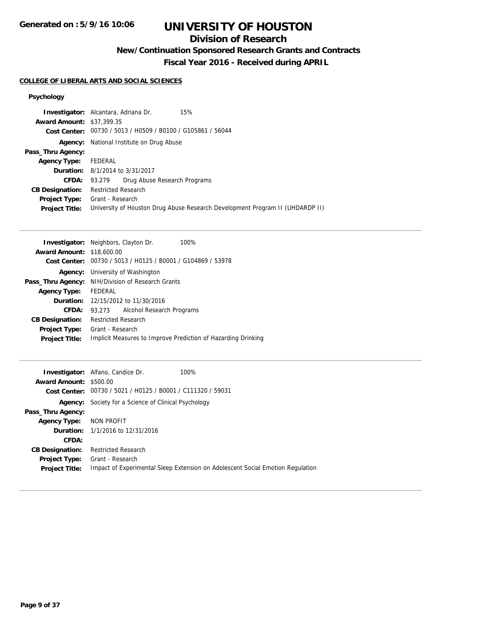## **Division of Research**

**New/Continuation Sponsored Research Grants and Contracts**

**Fiscal Year 2016 - Received during APRIL**

## **COLLEGE OF LIBERAL ARTS AND SOCIAL SCIENCES**

## **Psychology**

|                                  | 15%<br><b>Investigator:</b> Alcantara, Adriana Dr.                            |  |
|----------------------------------|-------------------------------------------------------------------------------|--|
| <b>Award Amount: \$37,399.35</b> |                                                                               |  |
|                                  | Cost Center: 00730 / 5013 / H0509 / B0100 / G105861 / 56044                   |  |
|                                  | <b>Agency:</b> National Institute on Drug Abuse                               |  |
| Pass_Thru Agency:                |                                                                               |  |
| Agency Type: FEDERAL             |                                                                               |  |
|                                  | <b>Duration:</b> 8/1/2014 to 3/31/2017                                        |  |
|                                  | Drug Abuse Research Programs<br><b>CFDA:</b> 93.279                           |  |
| <b>CB Designation:</b>           | <b>Restricted Research</b>                                                    |  |
| <b>Project Type:</b>             | Grant - Research                                                              |  |
| <b>Project Title:</b>            | University of Houston Drug Abuse Research Development Program II (UHDARDP II) |  |

|                                  | <b>Investigator:</b> Neighbors, Clayton Dr.<br>100%           |  |  |
|----------------------------------|---------------------------------------------------------------|--|--|
| <b>Award Amount: \$18,600.00</b> |                                                               |  |  |
| Cost Center:                     | 00730 / 5013 / H0125 / B0001 / G104869 / 53978                |  |  |
| Agency:                          | University of Washington                                      |  |  |
| Pass_Thru Agency:                | NIH/Division of Research Grants                               |  |  |
| <b>Agency Type:</b>              | FEDERAL                                                       |  |  |
|                                  | Duration: 12/15/2012 to 11/30/2016                            |  |  |
| CFDA:                            | Alcohol Research Programs<br>93.273                           |  |  |
| <b>CB Designation:</b>           | <b>Restricted Research</b>                                    |  |  |
| <b>Project Type:</b>             | Grant - Research                                              |  |  |
| <b>Project Title:</b>            | Implicit Measures to Improve Prediction of Hazarding Drinking |  |  |

|                               | <b>Investigator:</b> Alfano, Candice Dr.                    | 100%                                                                           |
|-------------------------------|-------------------------------------------------------------|--------------------------------------------------------------------------------|
| <b>Award Amount: \$500.00</b> |                                                             |                                                                                |
|                               | Cost Center: 00730 / 5021 / H0125 / B0001 / C111320 / 59031 |                                                                                |
|                               | <b>Agency:</b> Society for a Science of Clinical Psychology |                                                                                |
| Pass_Thru Agency:             |                                                             |                                                                                |
| <b>Agency Type:</b>           | NON PROFIT                                                  |                                                                                |
|                               | <b>Duration:</b> 1/1/2016 to 12/31/2016                     |                                                                                |
| CFDA:                         |                                                             |                                                                                |
| <b>CB Designation:</b>        | <b>Restricted Research</b>                                  |                                                                                |
| <b>Project Type:</b>          | Grant - Research                                            |                                                                                |
| <b>Project Title:</b>         |                                                             | Impact of Experimental Sleep Extension on Adolescent Social Emotion Regulation |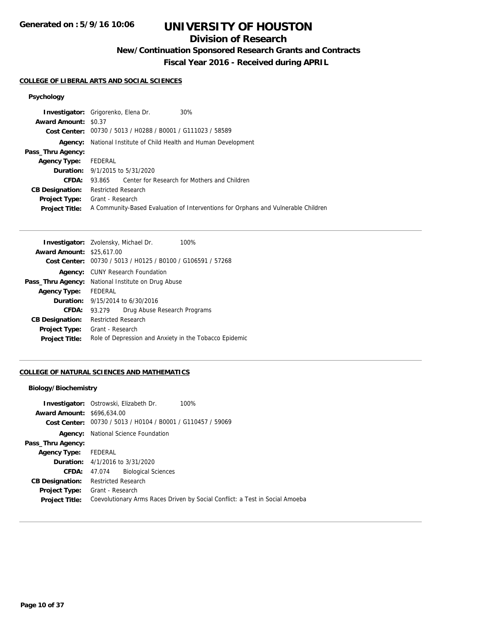## **Division of Research**

**New/Continuation Sponsored Research Grants and Contracts**

**Fiscal Year 2016 - Received during APRIL**

## **COLLEGE OF LIBERAL ARTS AND SOCIAL SCIENCES**

## **Psychology**

|                             | <b>Investigator:</b> Grigorenko, Elena Dr.<br>30%                                 |  |  |
|-----------------------------|-----------------------------------------------------------------------------------|--|--|
| <b>Award Amount: \$0.37</b> |                                                                                   |  |  |
|                             | Cost Center: 00730 / 5013 / H0288 / B0001 / G111023 / 58589                       |  |  |
|                             | <b>Agency:</b> National Institute of Child Health and Human Development           |  |  |
| Pass_Thru Agency:           |                                                                                   |  |  |
| <b>Agency Type:</b>         | FEDERAL                                                                           |  |  |
|                             | <b>Duration:</b> 9/1/2015 to 5/31/2020                                            |  |  |
| CFDA:                       | 93.865 Center for Research for Mothers and Children                               |  |  |
| <b>CB Designation:</b>      | <b>Restricted Research</b>                                                        |  |  |
|                             | <b>Project Type:</b> Grant - Research                                             |  |  |
| <b>Project Title:</b>       | A Community-Based Evaluation of Interventions for Orphans and Vulnerable Children |  |  |
|                             |                                                                                   |  |  |

|                                  | <b>Investigator:</b> Zvolensky, Michael Dr.                 | 100% |  |
|----------------------------------|-------------------------------------------------------------|------|--|
| <b>Award Amount: \$25,617,00</b> |                                                             |      |  |
|                                  | Cost Center: 00730 / 5013 / H0125 / B0100 / G106591 / 57268 |      |  |
|                                  | <b>Agency:</b> CUNY Research Foundation                     |      |  |
| Pass_Thru Agency:                | National Institute on Drug Abuse                            |      |  |
| <b>Agency Type:</b>              | FEDERAL                                                     |      |  |
|                                  | <b>Duration:</b> 9/15/2014 to 6/30/2016                     |      |  |
| CFDA:                            | Drug Abuse Research Programs<br>93.279                      |      |  |
| <b>CB Designation:</b>           | <b>Restricted Research</b>                                  |      |  |
| Project Type:                    | Grant - Research                                            |      |  |
| <b>Project Title:</b>            | Role of Depression and Anxiety in the Tobacco Epidemic      |      |  |

## **COLLEGE OF NATURAL SCIENCES AND MATHEMATICS**

#### **Biology/Biochemistry**

|                                   | <b>Investigator:</b> Ostrowski, Elizabeth Dr.<br>100%                        |
|-----------------------------------|------------------------------------------------------------------------------|
| <b>Award Amount: \$696.634.00</b> |                                                                              |
|                                   | Cost Center: 00730 / 5013 / H0104 / B0001 / G110457 / 59069                  |
|                                   | <b>Agency:</b> National Science Foundation                                   |
| Pass_Thru Agency:                 |                                                                              |
| <b>Agency Type:</b>               | FEDERAL                                                                      |
|                                   | <b>Duration:</b> 4/1/2016 to 3/31/2020                                       |
| <b>CFDA: 47.074</b>               | <b>Biological Sciences</b>                                                   |
| <b>CB Designation:</b>            | <b>Restricted Research</b>                                                   |
| <b>Project Type:</b>              | Grant - Research                                                             |
| <b>Project Title:</b>             | Coevolutionary Arms Races Driven by Social Conflict: a Test in Social Amoeba |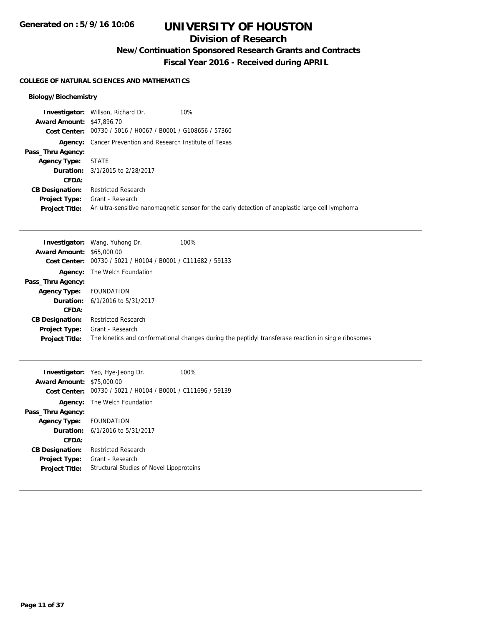## **Division of Research**

**New/Continuation Sponsored Research Grants and Contracts**

**Fiscal Year 2016 - Received during APRIL**

#### **COLLEGE OF NATURAL SCIENCES AND MATHEMATICS**

## **Biology/Biochemistry**

|                                  | <b>Investigator:</b> Willson, Richard Dr.                        | 10%                                                                                              |
|----------------------------------|------------------------------------------------------------------|--------------------------------------------------------------------------------------------------|
| <b>Award Amount: \$47,896.70</b> |                                                                  |                                                                                                  |
|                                  | Cost Center: 00730 / 5016 / H0067 / B0001 / G108656 / 57360      |                                                                                                  |
|                                  | <b>Agency:</b> Cancer Prevention and Research Institute of Texas |                                                                                                  |
| Pass_Thru Agency:                |                                                                  |                                                                                                  |
| <b>Agency Type:</b>              | STATE                                                            |                                                                                                  |
|                                  | <b>Duration:</b> 3/1/2015 to 2/28/2017                           |                                                                                                  |
| CFDA:                            |                                                                  |                                                                                                  |
| <b>CB Designation:</b>           | <b>Restricted Research</b>                                       |                                                                                                  |
| <b>Project Type:</b>             | Grant - Research                                                 |                                                                                                  |
| <b>Project Title:</b>            |                                                                  | An ultra-sensitive nanomagnetic sensor for the early detection of anaplastic large cell lymphoma |

|                                  | <b>Investigator:</b> Wang, Yuhong Dr.                       | 100%                                                                                                 |
|----------------------------------|-------------------------------------------------------------|------------------------------------------------------------------------------------------------------|
| <b>Award Amount: \$65,000.00</b> |                                                             |                                                                                                      |
|                                  | Cost Center: 00730 / 5021 / H0104 / B0001 / C111682 / 59133 |                                                                                                      |
|                                  | <b>Agency:</b> The Welch Foundation                         |                                                                                                      |
| Pass_Thru Agency:                |                                                             |                                                                                                      |
| <b>Agency Type:</b>              | FOUNDATION                                                  |                                                                                                      |
|                                  | <b>Duration:</b> 6/1/2016 to 5/31/2017                      |                                                                                                      |
| CFDA:                            |                                                             |                                                                                                      |
| <b>CB Designation:</b>           | <b>Restricted Research</b>                                  |                                                                                                      |
| <b>Project Type:</b>             | Grant - Research                                            |                                                                                                      |
| <b>Project Title:</b>            |                                                             | The kinetics and conformational changes during the peptidyl transferase reaction in single ribosomes |

|                                  | <b>Investigator:</b> Yeo, Hye-Jeong Dr.                     | 100% |
|----------------------------------|-------------------------------------------------------------|------|
| <b>Award Amount: \$75,000.00</b> |                                                             |      |
|                                  | Cost Center: 00730 / 5021 / H0104 / B0001 / C111696 / 59139 |      |
|                                  | <b>Agency:</b> The Welch Foundation                         |      |
| Pass_Thru Agency:                |                                                             |      |
| Agency Type: FOUNDATION          |                                                             |      |
|                                  | <b>Duration:</b> $6/1/2016$ to $5/31/2017$                  |      |
| CFDA:                            |                                                             |      |
| <b>CB Designation:</b>           | Restricted Research                                         |      |
| <b>Project Type:</b>             | Grant - Research                                            |      |
| <b>Project Title:</b>            | Structural Studies of Novel Lipoproteins                    |      |
|                                  |                                                             |      |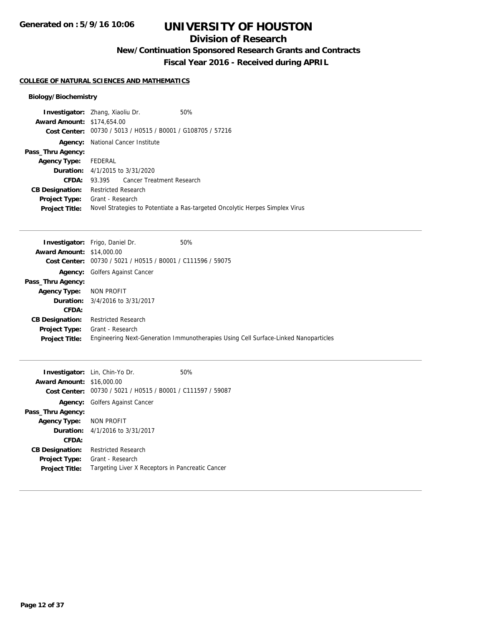## **Division of Research**

**New/Continuation Sponsored Research Grants and Contracts**

**Fiscal Year 2016 - Received during APRIL**

## **COLLEGE OF NATURAL SCIENCES AND MATHEMATICS**

## **Biology/Biochemistry**

| <b>Investigator:</b> Zhang, Xiaoliu Dr. |                                        |                                                             | 50%                                                                          |
|-----------------------------------------|----------------------------------------|-------------------------------------------------------------|------------------------------------------------------------------------------|
| <b>Award Amount: \$174,654.00</b>       |                                        |                                                             |                                                                              |
|                                         |                                        | Cost Center: 00730 / 5013 / H0515 / B0001 / G108705 / 57216 |                                                                              |
| Agency:                                 |                                        | National Cancer Institute                                   |                                                                              |
| Pass_Thru Agency:                       |                                        |                                                             |                                                                              |
| Agency Type: FEDERAL                    |                                        |                                                             |                                                                              |
|                                         | <b>Duration:</b> 4/1/2015 to 3/31/2020 |                                                             |                                                                              |
| CFDA:                                   |                                        | 93.395 Cancer Treatment Research                            |                                                                              |
| <b>CB Designation:</b>                  | <b>Restricted Research</b>             |                                                             |                                                                              |
| <b>Project Type:</b>                    | Grant - Research                       |                                                             |                                                                              |
| <b>Project Title:</b>                   |                                        |                                                             | Novel Strategies to Potentiate a Ras-targeted Oncolytic Herpes Simplex Virus |
|                                         |                                        |                                                             |                                                                              |

|                                  | <b>Investigator:</b> Frigo, Daniel Dr.                      | 50%                                                                                 |
|----------------------------------|-------------------------------------------------------------|-------------------------------------------------------------------------------------|
| <b>Award Amount: \$14,000.00</b> |                                                             |                                                                                     |
|                                  | Cost Center: 00730 / 5021 / H0515 / B0001 / C111596 / 59075 |                                                                                     |
| <b>Agency:</b>                   | <b>Golfers Against Cancer</b>                               |                                                                                     |
| Pass_Thru Agency:                |                                                             |                                                                                     |
| <b>Agency Type:</b>              | NON PROFIT                                                  |                                                                                     |
|                                  | <b>Duration:</b> $3/4/2016$ to $3/31/2017$                  |                                                                                     |
| CFDA:                            |                                                             |                                                                                     |
| <b>CB Designation:</b>           | <b>Restricted Research</b>                                  |                                                                                     |
| Project Type:                    | Grant - Research                                            |                                                                                     |
| <b>Project Title:</b>            |                                                             | Engineering Next-Generation Immunotherapies Using Cell Surface-Linked Nanoparticles |

|                                  | <b>Investigator:</b> Lin, Chin-Yo Dr.                       | 50% |
|----------------------------------|-------------------------------------------------------------|-----|
| <b>Award Amount: \$16,000.00</b> |                                                             |     |
|                                  | Cost Center: 00730 / 5021 / H0515 / B0001 / C111597 / 59087 |     |
|                                  | <b>Agency:</b> Golfers Against Cancer                       |     |
| Pass_Thru Agency:                |                                                             |     |
| Agency Type: NON PROFIT          |                                                             |     |
|                                  | <b>Duration:</b> $4/1/2016$ to $3/31/2017$                  |     |
| CFDA:                            |                                                             |     |
| <b>CB Designation:</b>           | <b>Restricted Research</b>                                  |     |
| <b>Project Type:</b>             | Grant - Research                                            |     |
| <b>Project Title:</b>            | Targeting Liver X Receptors in Pancreatic Cancer            |     |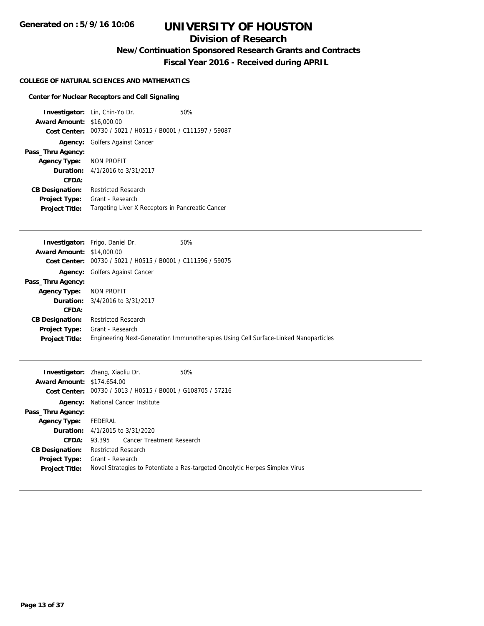## **Division of Research**

**New/Continuation Sponsored Research Grants and Contracts**

**Fiscal Year 2016 - Received during APRIL**

## **COLLEGE OF NATURAL SCIENCES AND MATHEMATICS**

## **Center for Nuclear Receptors and Cell Signaling**

| <b>Award Amount: \$16,000.00</b> | <b>Investigator:</b> Lin, Chin-Yo Dr.                       | 50% |
|----------------------------------|-------------------------------------------------------------|-----|
|                                  | Cost Center: 00730 / 5021 / H0515 / B0001 / C111597 / 59087 |     |
|                                  | <b>Agency:</b> Golfers Against Cancer                       |     |
| Pass_Thru Agency:                |                                                             |     |
| Agency Type: NON PROFIT          |                                                             |     |
|                                  | <b>Duration:</b> $4/1/2016$ to $3/31/2017$                  |     |
| CFDA:                            |                                                             |     |
| <b>CB Designation:</b>           | Restricted Research                                         |     |
| <b>Project Type:</b>             | Grant - Research                                            |     |
| <b>Project Title:</b>            | Targeting Liver X Receptors in Pancreatic Cancer            |     |

| <b>Award Amount: \$14,000.00</b><br>00730 / 5021 / H0515 / B0001 / C111596 / 59075<br><b>Cost Center:</b><br><b>Agency:</b> Golfers Against Cancer<br>Pass_Thru Agency:<br>NON PROFIT<br><b>Agency Type:</b><br>3/4/2016 to 3/31/2017<br>Duration:<br>CFDA:<br><b>Restricted Research</b><br><b>CB Designation:</b><br>Grant - Research<br>Project Type:<br>Engineering Next-Generation Immunotherapies Using Cell Surface-Linked Nanoparticles<br><b>Project Title:</b> | <b>Investigator:</b> Frigo, Daniel Dr. | 50% |
|--------------------------------------------------------------------------------------------------------------------------------------------------------------------------------------------------------------------------------------------------------------------------------------------------------------------------------------------------------------------------------------------------------------------------------------------------------------------------|----------------------------------------|-----|
|                                                                                                                                                                                                                                                                                                                                                                                                                                                                          |                                        |     |
|                                                                                                                                                                                                                                                                                                                                                                                                                                                                          |                                        |     |
|                                                                                                                                                                                                                                                                                                                                                                                                                                                                          |                                        |     |
|                                                                                                                                                                                                                                                                                                                                                                                                                                                                          |                                        |     |
|                                                                                                                                                                                                                                                                                                                                                                                                                                                                          |                                        |     |
|                                                                                                                                                                                                                                                                                                                                                                                                                                                                          |                                        |     |
|                                                                                                                                                                                                                                                                                                                                                                                                                                                                          |                                        |     |
|                                                                                                                                                                                                                                                                                                                                                                                                                                                                          |                                        |     |
|                                                                                                                                                                                                                                                                                                                                                                                                                                                                          |                                        |     |
|                                                                                                                                                                                                                                                                                                                                                                                                                                                                          |                                        |     |

| <b>Award Amount: \$174,654.00</b> | <b>Investigator:</b> Zhang, Xiaoliu Dr.        | 50%                                                                          |
|-----------------------------------|------------------------------------------------|------------------------------------------------------------------------------|
| Cost Center:                      | 00730 / 5013 / H0515 / B0001 / G108705 / 57216 |                                                                              |
| Agency:                           | National Cancer Institute                      |                                                                              |
| Pass_Thru Agency:                 |                                                |                                                                              |
| <b>Agency Type:</b>               | FEDERAL                                        |                                                                              |
|                                   | <b>Duration:</b> $4/1/2015$ to $3/31/2020$     |                                                                              |
| CFDA:                             | 93.395 Cancer Treatment Research               |                                                                              |
| <b>CB Designation:</b>            | Restricted Research                            |                                                                              |
| <b>Project Type:</b>              | Grant - Research                               |                                                                              |
| <b>Project Title:</b>             |                                                | Novel Strategies to Potentiate a Ras-targeted Oncolytic Herpes Simplex Virus |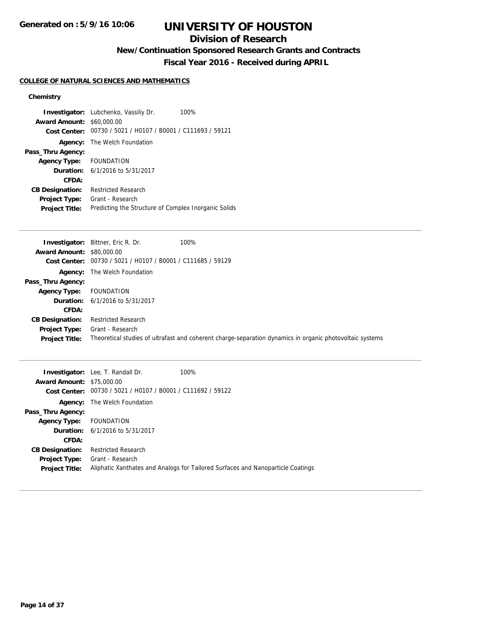## **Division of Research**

**New/Continuation Sponsored Research Grants and Contracts**

**Fiscal Year 2016 - Received during APRIL**

## **COLLEGE OF NATURAL SCIENCES AND MATHEMATICS**

## **Chemistry**

| <b>Award Amount: \$60,000.00</b> | <b>Investigator:</b> Lubchenko, Vassiliy Dr.<br>100%<br>Cost Center: 00730 / 5021 / H0107 / B0001 / C111693 / 59121 |
|----------------------------------|---------------------------------------------------------------------------------------------------------------------|
|                                  | <b>Agency:</b> The Welch Foundation                                                                                 |
| Pass_Thru Agency:                |                                                                                                                     |
| Agency Type: FOUNDATION          |                                                                                                                     |
|                                  | <b>Duration:</b> $6/1/2016$ to $5/31/2017$                                                                          |
| CFDA:                            |                                                                                                                     |
| <b>CB Designation:</b>           | <b>Restricted Research</b>                                                                                          |
| Project Type:                    | Grant - Research                                                                                                    |
| <b>Project Title:</b>            | Predicting the Structure of Complex Inorganic Solids                                                                |

|                                  | 100%<br><b>Investigator:</b> Bittner, Eric R. Dr.           |                                                                                                          |
|----------------------------------|-------------------------------------------------------------|----------------------------------------------------------------------------------------------------------|
| <b>Award Amount: \$80,000.00</b> |                                                             |                                                                                                          |
|                                  | Cost Center: 00730 / 5021 / H0107 / B0001 / C111685 / 59129 |                                                                                                          |
|                                  | <b>Agency:</b> The Welch Foundation                         |                                                                                                          |
| Pass_Thru Agency:                |                                                             |                                                                                                          |
| <b>Agency Type:</b>              | FOUNDATION                                                  |                                                                                                          |
|                                  | <b>Duration:</b> 6/1/2016 to 5/31/2017                      |                                                                                                          |
| <b>CFDA:</b>                     |                                                             |                                                                                                          |
| <b>CB Designation:</b>           | <b>Restricted Research</b>                                  |                                                                                                          |
| Project Type:                    | Grant - Research                                            |                                                                                                          |
| <b>Project Title:</b>            |                                                             | Theoretical studies of ultrafast and coherent charge-separation dynamics in organic photovoltaic systems |

| <b>Award Amount: \$75,000.00</b> | <b>Investigator:</b> Lee, T. Randall Dr.<br>Cost Center: 00730 / 5021 / H0107 / B0001 / C111692 / 59122 | 100%                                                                            |
|----------------------------------|---------------------------------------------------------------------------------------------------------|---------------------------------------------------------------------------------|
|                                  | <b>Agency:</b> The Welch Foundation                                                                     |                                                                                 |
| Pass_Thru Agency:                |                                                                                                         |                                                                                 |
| <b>Agency Type:</b>              | FOUNDATION                                                                                              |                                                                                 |
|                                  | <b>Duration:</b> $6/1/2016$ to $5/31/2017$                                                              |                                                                                 |
| CFDA:                            |                                                                                                         |                                                                                 |
| <b>CB Designation:</b>           | <b>Restricted Research</b>                                                                              |                                                                                 |
| <b>Project Type:</b>             | Grant - Research                                                                                        |                                                                                 |
| <b>Project Title:</b>            |                                                                                                         | Aliphatic Xanthates and Analogs for Tailored Surfaces and Nanoparticle Coatings |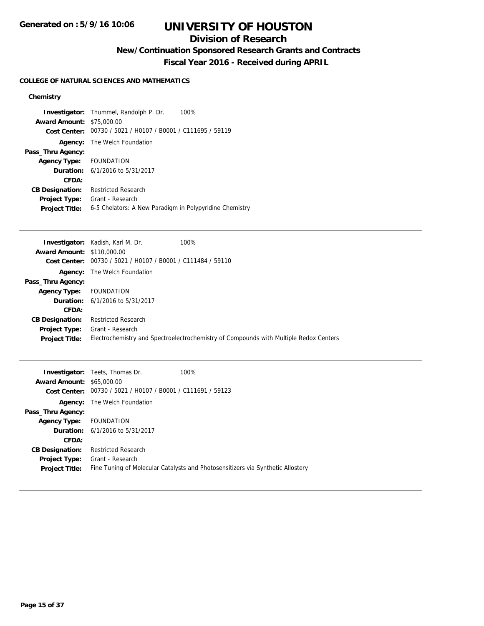## **Division of Research**

**New/Continuation Sponsored Research Grants and Contracts**

**Fiscal Year 2016 - Received during APRIL**

## **COLLEGE OF NATURAL SCIENCES AND MATHEMATICS**

## **Chemistry**

|                                  | <b>Investigator:</b> Thummel, Randolph P. Dr.<br>100%       |
|----------------------------------|-------------------------------------------------------------|
| <b>Award Amount: \$75,000.00</b> |                                                             |
|                                  | Cost Center: 00730 / 5021 / H0107 / B0001 / C111695 / 59119 |
|                                  | <b>Agency:</b> The Welch Foundation                         |
| Pass_Thru Agency:                |                                                             |
| Agency Type: FOUNDATION          |                                                             |
|                                  | <b>Duration:</b> 6/1/2016 to 5/31/2017                      |
| CFDA:                            |                                                             |
| <b>CB Designation:</b>           | <b>Restricted Research</b>                                  |
| <b>Project Type:</b>             | Grant - Research                                            |
| <b>Project Title:</b>            | 6-5 Chelators: A New Paradigm in Polypyridine Chemistry     |

|                                   | <b>Investigator:</b> Kadish, Karl M. Dr.                    | 100%                                                                                  |
|-----------------------------------|-------------------------------------------------------------|---------------------------------------------------------------------------------------|
| <b>Award Amount: \$110,000.00</b> |                                                             |                                                                                       |
|                                   | Cost Center: 00730 / 5021 / H0107 / B0001 / C111484 / 59110 |                                                                                       |
|                                   | <b>Agency:</b> The Welch Foundation                         |                                                                                       |
| Pass_Thru Agency:                 |                                                             |                                                                                       |
| <b>Agency Type:</b>               | FOUNDATION                                                  |                                                                                       |
|                                   | <b>Duration:</b> 6/1/2016 to 5/31/2017                      |                                                                                       |
| CFDA:                             |                                                             |                                                                                       |
| <b>CB Designation:</b>            | <b>Restricted Research</b>                                  |                                                                                       |
| <b>Project Type:</b>              | Grant - Research                                            |                                                                                       |
| <b>Project Title:</b>             |                                                             | Electrochemistry and Spectroelectrochemistry of Compounds with Multiple Redox Centers |

| <b>Award Amount: \$65,000.00</b> | <b>Investigator:</b> Teets, Thomas Dr.         | 100%                                                                            |
|----------------------------------|------------------------------------------------|---------------------------------------------------------------------------------|
| Cost Center:                     | 00730 / 5021 / H0107 / B0001 / C111691 / 59123 |                                                                                 |
| Agency:                          | The Welch Foundation                           |                                                                                 |
| Pass_Thru Agency:                |                                                |                                                                                 |
| <b>Agency Type:</b>              | FOUNDATION                                     |                                                                                 |
|                                  | <b>Duration:</b> $6/1/2016$ to $5/31/2017$     |                                                                                 |
| CFDA:                            |                                                |                                                                                 |
| <b>CB Designation:</b>           | Restricted Research                            |                                                                                 |
| <b>Project Type:</b>             | Grant - Research                               |                                                                                 |
| <b>Project Title:</b>            |                                                | Fine Tuning of Molecular Catalysts and Photosensitizers via Synthetic Allostery |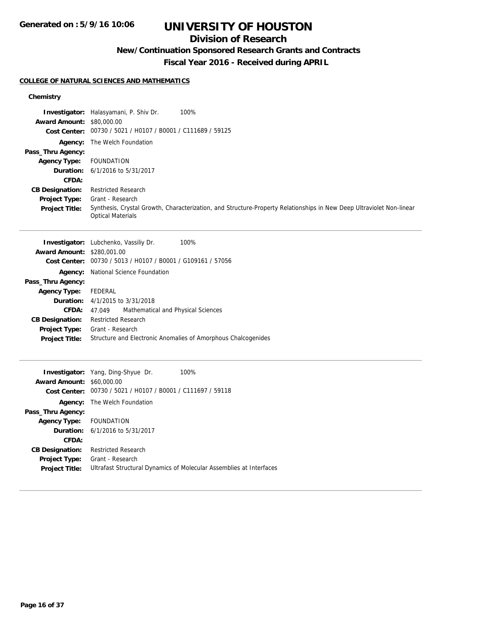## **Division of Research**

## **New/Continuation Sponsored Research Grants and Contracts**

**Fiscal Year 2016 - Received during APRIL**

#### **COLLEGE OF NATURAL SCIENCES AND MATHEMATICS**

**Cost Center:** 00730 / 5021 / H0107 / B0001 / C111697 / 59118

**Project Title:** Ultrafast Structural Dynamics of Molecular Assemblies at Interfaces

**Agency:** The Welch Foundation

**Duration:** 6/1/2016 to 5/31/2017

**Agency Type:** FOUNDATION

**CB Designation:** Restricted Research **Project Type:** Grant - Research

**CFDA:**

#### **Chemistry**

|                                   | Investigator: Halasyamani, P. Shiv Dr.<br>100%                                                                                                   |
|-----------------------------------|--------------------------------------------------------------------------------------------------------------------------------------------------|
| <b>Award Amount: \$80,000.00</b>  | Cost Center: 00730 / 5021 / H0107 / B0001 / C111689 / 59125                                                                                      |
|                                   | Agency: The Welch Foundation                                                                                                                     |
| Pass_Thru Agency:                 |                                                                                                                                                  |
| <b>Agency Type:</b>               | <b>FOUNDATION</b>                                                                                                                                |
| Duration:                         | 6/1/2016 to 5/31/2017                                                                                                                            |
| CFDA:                             |                                                                                                                                                  |
| <b>CB Designation:</b>            | <b>Restricted Research</b>                                                                                                                       |
| <b>Project Type:</b>              | Grant - Research                                                                                                                                 |
| <b>Project Title:</b>             | Synthesis, Crystal Growth, Characterization, and Structure-Property Relationships in New Deep Ultraviolet Non-linear<br><b>Optical Materials</b> |
|                                   | 100%<br><b>Investigator:</b> Lubchenko, Vassiliy Dr.                                                                                             |
| <b>Award Amount: \$280,001,00</b> |                                                                                                                                                  |
| <b>Cost Center:</b>               | 00730 / 5013 / H0107 / B0001 / G109161 / 57056                                                                                                   |
|                                   | National Science Foundation                                                                                                                      |
| Agency:<br>Pass_Thru Agency:      |                                                                                                                                                  |
|                                   | FEDERAL                                                                                                                                          |
| <b>Agency Type:</b><br>Duration:  | 4/1/2015 to 3/31/2018                                                                                                                            |
| <b>CFDA:</b>                      | Mathematical and Physical Sciences<br>47.049                                                                                                     |
| <b>CB Designation:</b>            | <b>Restricted Research</b>                                                                                                                       |
| Project Type:                     | Grant - Research                                                                                                                                 |
| <b>Project Title:</b>             | Structure and Electronic Anomalies of Amorphous Chalcogenides                                                                                    |
|                                   |                                                                                                                                                  |
|                                   | Investigator: Yang, Ding-Shyue Dr.<br>100%                                                                                                       |
| <b>Award Amount: \$60,000.00</b>  |                                                                                                                                                  |

**Pass\_Thru Agency:**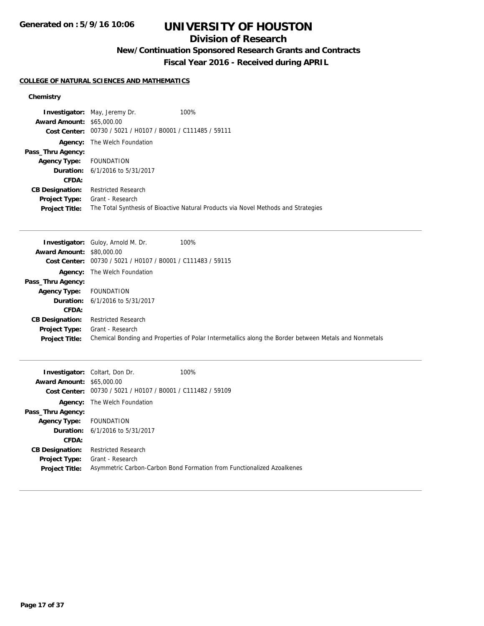## **Division of Research**

## **New/Continuation Sponsored Research Grants and Contracts**

**Fiscal Year 2016 - Received during APRIL**

#### **COLLEGE OF NATURAL SCIENCES AND MATHEMATICS**

## **Chemistry**

|                                  | <b>Investigator:</b> May, Jeremy Dr.           | 100%                                                                               |
|----------------------------------|------------------------------------------------|------------------------------------------------------------------------------------|
| <b>Award Amount: \$65,000.00</b> |                                                |                                                                                    |
| Cost Center:                     | 00730 / 5021 / H0107 / B0001 / C111485 / 59111 |                                                                                    |
| Agency:                          | The Welch Foundation                           |                                                                                    |
| Pass_Thru Agency:                |                                                |                                                                                    |
| <b>Agency Type:</b>              | FOUNDATION                                     |                                                                                    |
|                                  | <b>Duration:</b> 6/1/2016 to 5/31/2017         |                                                                                    |
| CFDA:                            |                                                |                                                                                    |
| <b>CB Designation:</b>           | <b>Restricted Research</b>                     |                                                                                    |
| <b>Project Type:</b>             | Grant - Research                               |                                                                                    |
| <b>Project Title:</b>            |                                                | The Total Synthesis of Bioactive Natural Products via Novel Methods and Strategies |

|                                  | 100%<br><b>Investigator:</b> Guloy, Arnold M. Dr.                                                     |
|----------------------------------|-------------------------------------------------------------------------------------------------------|
| <b>Award Amount: \$80,000.00</b> |                                                                                                       |
|                                  | Cost Center: 00730 / 5021 / H0107 / B0001 / C111483 / 59115                                           |
| Agency:                          | The Welch Foundation                                                                                  |
| Pass_Thru Agency:                |                                                                                                       |
| <b>Agency Type:</b>              | FOUNDATION                                                                                            |
|                                  | <b>Duration:</b> 6/1/2016 to 5/31/2017                                                                |
| CFDA:                            |                                                                                                       |
| <b>CB Designation:</b>           | <b>Restricted Research</b>                                                                            |
| <b>Project Type:</b>             | Grant - Research                                                                                      |
| <b>Project Title:</b>            | Chemical Bonding and Properties of Polar Intermetallics along the Border between Metals and Nonmetals |

| <b>Award Amount: \$65,000.00</b><br>Cost Center: | <b>Investigator:</b> Coltart, Don Dr.<br>00730 / 5021 / H0107 / B0001 / C111482 / 59109 | 100%                                                                   |
|--------------------------------------------------|-----------------------------------------------------------------------------------------|------------------------------------------------------------------------|
| Agency:                                          | The Welch Foundation                                                                    |                                                                        |
| Pass_Thru Agency:                                |                                                                                         |                                                                        |
| Agency Type: FOUNDATION                          |                                                                                         |                                                                        |
|                                                  | <b>Duration:</b> 6/1/2016 to 5/31/2017                                                  |                                                                        |
| CFDA:                                            |                                                                                         |                                                                        |
| <b>CB Designation:</b>                           | <b>Restricted Research</b>                                                              |                                                                        |
| <b>Project Type:</b>                             | Grant - Research                                                                        |                                                                        |
| <b>Project Title:</b>                            |                                                                                         | Asymmetric Carbon-Carbon Bond Formation from Functionalized Azoalkenes |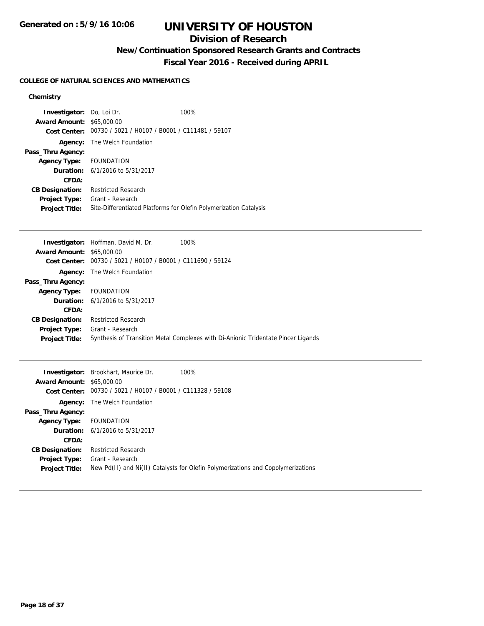## **Division of Research**

**New/Continuation Sponsored Research Grants and Contracts**

**Fiscal Year 2016 - Received during APRIL**

## **COLLEGE OF NATURAL SCIENCES AND MATHEMATICS**

## **Chemistry**

| <b>Investigator:</b> Do, Loi Dr.<br><b>Award Amount: \$65,000.00</b> |                                                             | 100%                                                              |
|----------------------------------------------------------------------|-------------------------------------------------------------|-------------------------------------------------------------------|
|                                                                      | Cost Center: 00730 / 5021 / H0107 / B0001 / C111481 / 59107 |                                                                   |
|                                                                      | <b>Agency:</b> The Welch Foundation                         |                                                                   |
| Pass_Thru Agency:                                                    |                                                             |                                                                   |
| Agency Type: FOUNDATION                                              |                                                             |                                                                   |
|                                                                      | <b>Duration:</b> $6/1/2016$ to $5/31/2017$                  |                                                                   |
| CFDA:                                                                |                                                             |                                                                   |
| <b>CB Designation:</b>                                               | <b>Restricted Research</b>                                  |                                                                   |
| Project Type:                                                        | Grant - Research                                            |                                                                   |
| <b>Project Title:</b>                                                |                                                             | Site-Differentiated Platforms for Olefin Polymerization Catalysis |

|                                  | <b>Investigator:</b> Hoffman, David M. Dr.<br>100%                                |
|----------------------------------|-----------------------------------------------------------------------------------|
| <b>Award Amount: \$65,000.00</b> |                                                                                   |
| Cost Center:                     | 00730 / 5021 / H0107 / B0001 / C111690 / 59124                                    |
| Agency:                          | The Welch Foundation                                                              |
| Pass_Thru Agency:                |                                                                                   |
| <b>Agency Type:</b>              | FOUNDATION                                                                        |
|                                  | <b>Duration:</b> 6/1/2016 to 5/31/2017                                            |
| CFDA:                            |                                                                                   |
| <b>CB Designation:</b>           | <b>Restricted Research</b>                                                        |
| <b>Project Type:</b>             | Grant - Research                                                                  |
| <b>Project Title:</b>            | Synthesis of Transition Metal Complexes with Di-Anionic Tridentate Pincer Ligands |
|                                  |                                                                                   |

|                                  | <b>Investigator:</b> Brookhart, Maurice Dr.    | 100%                                                                             |
|----------------------------------|------------------------------------------------|----------------------------------------------------------------------------------|
| <b>Award Amount: \$65,000.00</b> |                                                |                                                                                  |
| Cost Center:                     | 00730 / 5021 / H0107 / B0001 / C111328 / 59108 |                                                                                  |
| Agency:                          | The Welch Foundation                           |                                                                                  |
| Pass_Thru Agency:                |                                                |                                                                                  |
| <b>Agency Type:</b>              | FOUNDATION                                     |                                                                                  |
|                                  | <b>Duration:</b> 6/1/2016 to 5/31/2017         |                                                                                  |
| CFDA:                            |                                                |                                                                                  |
| <b>CB Designation:</b>           | <b>Restricted Research</b>                     |                                                                                  |
| <b>Project Type:</b>             | Grant - Research                               |                                                                                  |
| <b>Project Title:</b>            |                                                | New Pd(II) and Ni(II) Catalysts for Olefin Polymerizations and Copolymerizations |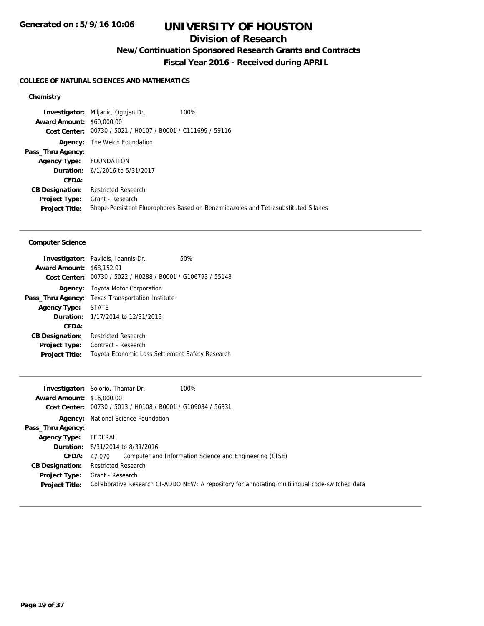## **Division of Research**

**New/Continuation Sponsored Research Grants and Contracts**

**Fiscal Year 2016 - Received during APRIL**

#### **COLLEGE OF NATURAL SCIENCES AND MATHEMATICS**

#### **Chemistry**

**Investigator:** Miljanic, Ognjen Dr. 100% **Award Amount:** \$60,000.00 **Cost Center:** 00730 / 5021 / H0107 / B0001 / C111699 / 59116 **Agency:** The Welch Foundation **Pass\_Thru Agency: Agency Type:** FOUNDATION **Duration:** 6/1/2016 to 5/31/2017 **CFDA: CB Designation:** Restricted Research **Project Type:** Grant - Research **Project Title:** Shape-Persistent Fluorophores Based on Benzimidazoles and Tetrasubstituted Silanes

#### **Computer Science**

|                                  | <b>Investigator:</b> Pavlidis, Ioannis Dr.                  | 50% |
|----------------------------------|-------------------------------------------------------------|-----|
| <b>Award Amount: \$68,152.01</b> |                                                             |     |
|                                  | Cost Center: 00730 / 5022 / H0288 / B0001 / G106793 / 55148 |     |
| Agency:                          | Toyota Motor Corporation                                    |     |
| Pass_Thru Agency:                | <b>Texas Transportation Institute</b>                       |     |
| <b>Agency Type:</b>              | <b>STATE</b>                                                |     |
|                                  | <b>Duration:</b> 1/17/2014 to 12/31/2016                    |     |
| CFDA:                            |                                                             |     |
| <b>CB Designation:</b>           | <b>Restricted Research</b>                                  |     |
| <b>Project Type:</b>             | Contract - Research                                         |     |
| <b>Project Title:</b>            | Toyota Economic Loss Settlement Safety Research             |     |

|                                  | 100%<br><b>Investigator:</b> Solorio, Thamar Dr.                                                |
|----------------------------------|-------------------------------------------------------------------------------------------------|
| <b>Award Amount: \$16,000.00</b> |                                                                                                 |
|                                  | Cost Center: 00730 / 5013 / H0108 / B0001 / G109034 / 56331                                     |
|                                  | <b>Agency:</b> National Science Foundation                                                      |
| Pass_Thru Agency:                |                                                                                                 |
| Agency Type:                     | FEDERAL                                                                                         |
|                                  | <b>Duration:</b> 8/31/2014 to 8/31/2016                                                         |
| <b>CFDA:</b>                     | 47.070 Computer and Information Science and Engineering (CISE)                                  |
| <b>CB Designation:</b>           | <b>Restricted Research</b>                                                                      |
| Project Type:                    | Grant - Research                                                                                |
| <b>Project Title:</b>            | Collaborative Research CI-ADDO NEW: A repository for annotating multilingual code-switched data |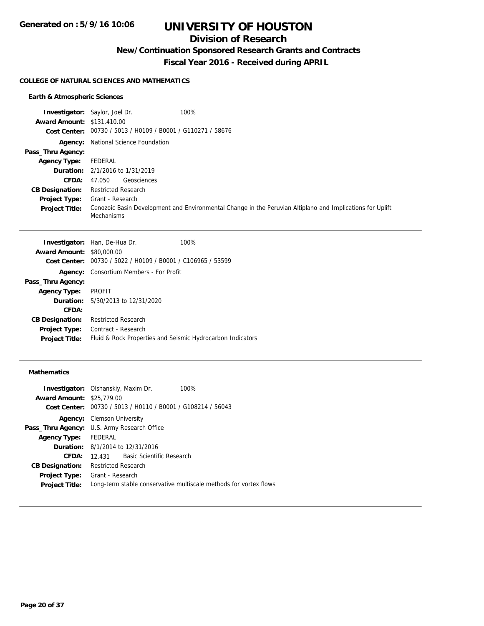## **Division of Research**

**New/Continuation Sponsored Research Grants and Contracts**

**Fiscal Year 2016 - Received during APRIL**

#### **COLLEGE OF NATURAL SCIENCES AND MATHEMATICS**

## **Earth & Atmospheric Sciences**

|                                   | 100%<br><b>Investigator:</b> Saylor, Joel Dr.                                                                           |
|-----------------------------------|-------------------------------------------------------------------------------------------------------------------------|
| <b>Award Amount: \$131,410.00</b> |                                                                                                                         |
|                                   | Cost Center: 00730 / 5013 / H0109 / B0001 / G110271 / 58676                                                             |
|                                   | <b>Agency:</b> National Science Foundation                                                                              |
| Pass_Thru Agency:                 |                                                                                                                         |
| <b>Agency Type:</b>               | FEDERAL                                                                                                                 |
|                                   | <b>Duration:</b> 2/1/2016 to 1/31/2019                                                                                  |
| <b>CFDA:</b>                      | Geosciences<br>47.050                                                                                                   |
| <b>CB Designation:</b>            | <b>Restricted Research</b>                                                                                              |
| <b>Project Type:</b>              | Grant - Research                                                                                                        |
| <b>Project Title:</b>             | Cenozoic Basin Development and Environmental Change in the Peruvian Altiplano and Implications for Uplift<br>Mechanisms |

|                                  | <b>Investigator:</b> Han, De-Hua Dr.                        | 100% |
|----------------------------------|-------------------------------------------------------------|------|
| <b>Award Amount: \$80,000.00</b> |                                                             |      |
|                                  | Cost Center: 00730 / 5022 / H0109 / B0001 / C106965 / 53599 |      |
| Agency:                          | Consortium Members - For Profit                             |      |
| Pass_Thru Agency:                |                                                             |      |
| <b>Agency Type:</b>              | <b>PROFIT</b>                                               |      |
|                                  | <b>Duration:</b> 5/30/2013 to 12/31/2020                    |      |
| CFDA:                            |                                                             |      |
| <b>CB Designation:</b>           | <b>Restricted Research</b>                                  |      |
| <b>Project Type:</b>             | Contract - Research                                         |      |
| <b>Project Title:</b>            | Fluid & Rock Properties and Seismic Hydrocarbon Indicators  |      |
|                                  |                                                             |      |

## **Mathematics**

|                                  | <b>Investigator:</b> Olshanskiy, Maxim Dr.<br>100%                |
|----------------------------------|-------------------------------------------------------------------|
| <b>Award Amount: \$25,779.00</b> |                                                                   |
| <b>Cost Center:</b>              | 00730 / 5013 / H0110 / B0001 / G108214 / 56043                    |
|                                  | <b>Agency:</b> Clemson University                                 |
|                                  | <b>Pass_Thru Agency:</b> U.S. Army Research Office                |
| Agency Type:                     | FEDERAL                                                           |
|                                  | <b>Duration:</b> $8/1/2014$ to $12/31/2016$                       |
| CFDA:                            | <b>Basic Scientific Research</b><br>12.431                        |
| <b>CB Designation:</b>           | <b>Restricted Research</b>                                        |
|                                  | <b>Project Type:</b> Grant - Research                             |
| <b>Project Title:</b>            | Long-term stable conservative multiscale methods for vortex flows |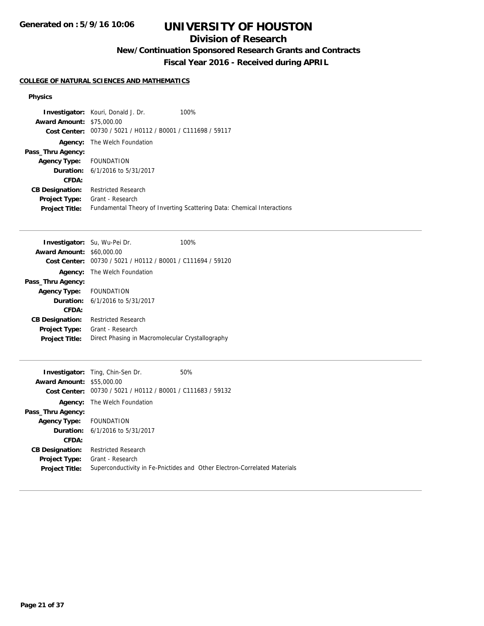## **Division of Research**

**New/Continuation Sponsored Research Grants and Contracts**

**Fiscal Year 2016 - Received during APRIL**

## **COLLEGE OF NATURAL SCIENCES AND MATHEMATICS**

#### **Physics**

|                                  | <b>Investigator:</b> Kouri, Donald J. Dr.                   | 100%                                                                   |
|----------------------------------|-------------------------------------------------------------|------------------------------------------------------------------------|
| <b>Award Amount: \$75,000.00</b> |                                                             |                                                                        |
|                                  | Cost Center: 00730 / 5021 / H0112 / B0001 / C111698 / 59117 |                                                                        |
|                                  | <b>Agency:</b> The Welch Foundation                         |                                                                        |
| Pass_Thru Agency:                |                                                             |                                                                        |
| Agency Type: FOUNDATION          |                                                             |                                                                        |
|                                  | <b>Duration:</b> 6/1/2016 to 5/31/2017                      |                                                                        |
| CFDA:                            |                                                             |                                                                        |
| <b>CB Designation:</b>           | <b>Restricted Research</b>                                  |                                                                        |
| <b>Project Type:</b>             | Grant - Research                                            |                                                                        |
| <b>Project Title:</b>            |                                                             | Fundamental Theory of Inverting Scattering Data: Chemical Interactions |

| <b>Investigator:</b> Su, Wu-Pei Dr. |                                                  | 100% |
|-------------------------------------|--------------------------------------------------|------|
| <b>Award Amount: \$60,000.00</b>    |                                                  |      |
| <b>Cost Center:</b>                 | 00730 / 5021 / H0112 / B0001 / C111694 / 59120   |      |
| Agency:                             | The Welch Foundation                             |      |
| Pass_Thru Agency:                   |                                                  |      |
| <b>Agency Type:</b>                 | <b>FOUNDATION</b>                                |      |
|                                     | <b>Duration:</b> $6/1/2016$ to $5/31/2017$       |      |
| CFDA:                               |                                                  |      |
| <b>CB Designation:</b>              | Restricted Research                              |      |
| <b>Project Type:</b>                | Grant - Research                                 |      |
| <b>Project Title:</b>               | Direct Phasing in Macromolecular Crystallography |      |

|                                  | <b>Investigator:</b> Ting, Chin-Sen Dr.                     | 50%                                                                       |
|----------------------------------|-------------------------------------------------------------|---------------------------------------------------------------------------|
| <b>Award Amount: \$55,000.00</b> |                                                             |                                                                           |
|                                  | Cost Center: 00730 / 5021 / H0112 / B0001 / C111683 / 59132 |                                                                           |
|                                  | <b>Agency:</b> The Welch Foundation                         |                                                                           |
| Pass_Thru Agency:                |                                                             |                                                                           |
| Agency Type: FOUNDATION          |                                                             |                                                                           |
|                                  | <b>Duration:</b> 6/1/2016 to 5/31/2017                      |                                                                           |
| CFDA:                            |                                                             |                                                                           |
| <b>CB Designation:</b>           | <b>Restricted Research</b>                                  |                                                                           |
|                                  | <b>Project Type:</b> Grant - Research                       |                                                                           |
| <b>Project Title:</b>            |                                                             | Superconductivity in Fe-Pnictides and Other Electron-Correlated Materials |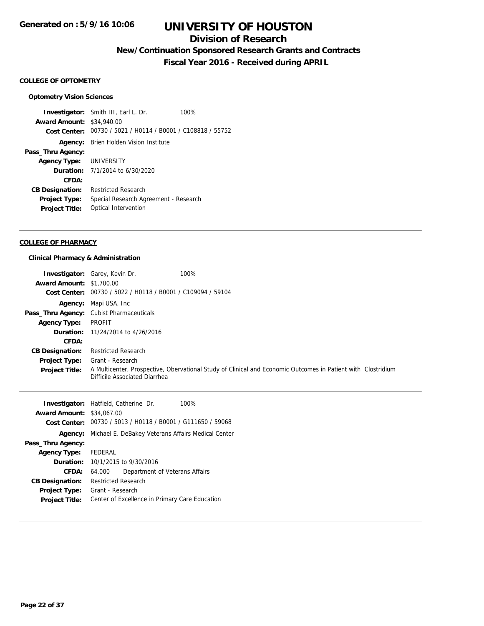## **Division of Research**

**New/Continuation Sponsored Research Grants and Contracts**

**Fiscal Year 2016 - Received during APRIL**

#### **COLLEGE OF OPTOMETRY**

#### **Optometry Vision Sciences**

**Investigator:** Smith III, Earl L. Dr. 100% **Award Amount:** \$34,940.00 **Cost Center:** 00730 / 5021 / H0114 / B0001 / C108818 / 55752 **Agency:** Brien Holden Vision Institute **Pass\_Thru Agency: Agency Type:** UNIVERSITY **Duration:** 7/1/2014 to 6/30/2020 **CFDA: CB Designation:** Restricted Research **Project Type:** Special Research Agreement - Research **Project Title:** Optical Intervention

#### **COLLEGE OF PHARMACY**

#### **Clinical Pharmacy & Administration**

| <b>Award Amount: \$1,700.00</b>  | <b>Investigator:</b> Garey, Kevin Dr.              | 100%                                                                                                         |
|----------------------------------|----------------------------------------------------|--------------------------------------------------------------------------------------------------------------|
| Cost Center:                     | 00730 / 5022 / H0118 / B0001 / C109094 / 59104     |                                                                                                              |
| Agency:                          | Mapi USA, Inc                                      |                                                                                                              |
| Pass_Thru Agency:                | <b>Cubist Pharmaceuticals</b>                      |                                                                                                              |
| <b>Agency Type:</b>              | <b>PROFIT</b>                                      |                                                                                                              |
| Duration:                        | 11/24/2014 to 4/26/2016                            |                                                                                                              |
| CFDA:                            |                                                    |                                                                                                              |
| <b>CB Designation:</b>           | <b>Restricted Research</b>                         |                                                                                                              |
| <b>Project Type:</b>             | Grant - Research                                   |                                                                                                              |
| <b>Project Title:</b>            | Difficile Associated Diarrhea                      | A Multicenter, Prospective, Obervational Study of Clinical and Economic Outcomes in Patient with Clostridium |
|                                  |                                                    |                                                                                                              |
|                                  | <b>Investigator:</b> Hatfield, Catherine Dr.       | 100%                                                                                                         |
| <b>Award Amount: \$34,067.00</b> |                                                    |                                                                                                              |
| <b>Cost Center:</b>              | 00730 / 5013 / H0118 / B0001 / G111650 / 59068     |                                                                                                              |
| Agency:                          | Michael E. DeBakey Veterans Affairs Medical Center |                                                                                                              |
| Pass_Thru Agency:                |                                                    |                                                                                                              |
| <b>Agency Type:</b>              | <b>FEDERAL</b>                                     |                                                                                                              |
| Duration:                        | 10/1/2015 to 9/30/2016                             |                                                                                                              |
| <b>CFDA:</b>                     | 64.000<br>Department of Veterans Affairs           |                                                                                                              |
| <b>CB Designation:</b>           | <b>Restricted Research</b>                         |                                                                                                              |

**Project Title:** Center of Excellence in Primary Care Education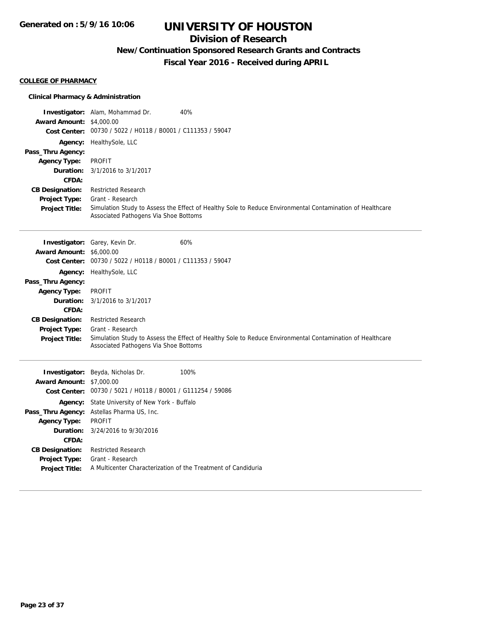## **Division of Research**

**New/Continuation Sponsored Research Grants and Contracts**

**Fiscal Year 2016 - Received during APRIL**

#### **COLLEGE OF PHARMACY**

## **Clinical Pharmacy & Administration**

| <b>Award Amount: \$4,000.00</b>               | Investigator: Alam, Mohammad Dr.                              | 40%                                                                                                       |
|-----------------------------------------------|---------------------------------------------------------------|-----------------------------------------------------------------------------------------------------------|
|                                               | Cost Center: 00730 / 5022 / H0118 / B0001 / C111353 / 59047   |                                                                                                           |
|                                               | Agency: HealthySole, LLC                                      |                                                                                                           |
| Pass_Thru Agency:                             |                                                               |                                                                                                           |
| <b>Agency Type:</b>                           | <b>PROFIT</b>                                                 |                                                                                                           |
| Duration:                                     | 3/1/2016 to 3/1/2017                                          |                                                                                                           |
| CFDA:                                         |                                                               |                                                                                                           |
| <b>CB Designation:</b>                        | <b>Restricted Research</b><br>Grant - Research                |                                                                                                           |
| <b>Project Type:</b><br><b>Project Title:</b> |                                                               | Simulation Study to Assess the Effect of Healthy Sole to Reduce Environmental Contamination of Healthcare |
|                                               | Associated Pathogens Via Shoe Bottoms                         |                                                                                                           |
|                                               |                                                               |                                                                                                           |
|                                               | Investigator: Garey, Kevin Dr.                                | 60%                                                                                                       |
| <b>Award Amount: \$6,000.00</b>               |                                                               |                                                                                                           |
|                                               | Cost Center: 00730 / 5022 / H0118 / B0001 / C111353 / 59047   |                                                                                                           |
| Agency:                                       | HealthySole, LLC                                              |                                                                                                           |
| Pass_Thru Agency:                             |                                                               |                                                                                                           |
| <b>Agency Type:</b>                           | <b>PROFIT</b>                                                 |                                                                                                           |
| Duration:<br>CFDA:                            | 3/1/2016 to 3/1/2017                                          |                                                                                                           |
| <b>CB Designation:</b>                        | <b>Restricted Research</b>                                    |                                                                                                           |
| <b>Project Type:</b>                          | Grant - Research                                              |                                                                                                           |
| Project Title:                                | Associated Pathogens Via Shoe Bottoms                         | Simulation Study to Assess the Effect of Healthy Sole to Reduce Environmental Contamination of Healthcare |
|                                               |                                                               |                                                                                                           |
|                                               | Investigator: Beyda, Nicholas Dr.                             | 100%                                                                                                      |
| <b>Award Amount: \$7,000.00</b>               |                                                               |                                                                                                           |
|                                               | Cost Center: 00730 / 5021 / H0118 / B0001 / G111254 / 59086   |                                                                                                           |
|                                               | Agency: State University of New York - Buffalo                |                                                                                                           |
|                                               | Pass_Thru Agency: Astellas Pharma US, Inc.                    |                                                                                                           |
| <b>Agency Type:</b>                           | <b>PROFIT</b>                                                 |                                                                                                           |
| Duration:<br>CFDA:                            | 3/24/2016 to 9/30/2016                                        |                                                                                                           |
| <b>CB Designation:</b>                        | <b>Restricted Research</b>                                    |                                                                                                           |
| Project Type:                                 | Grant - Research                                              |                                                                                                           |
| <b>Project Title:</b>                         | A Multicenter Characterization of the Treatment of Candiduria |                                                                                                           |
|                                               |                                                               |                                                                                                           |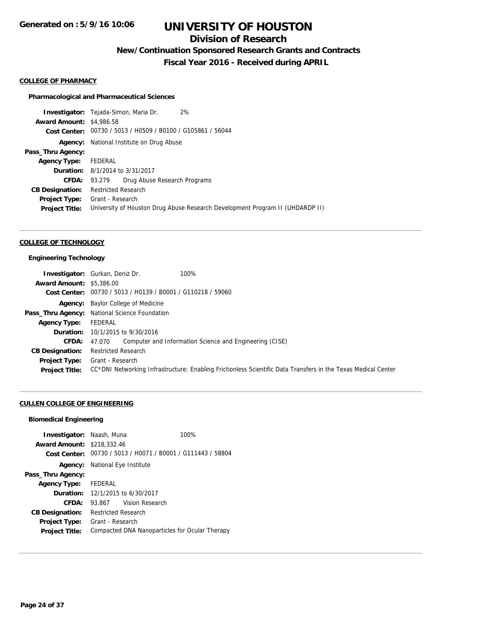## **Division of Research**

**New/Continuation Sponsored Research Grants and Contracts**

**Fiscal Year 2016 - Received during APRIL**

#### **COLLEGE OF PHARMACY**

#### **Pharmacological and Pharmaceutical Sciences**

**Investigator:** Tejada-Simon, Maria Dr. 2% **Award Amount:** \$4,986.58 **Cost Center:** 00730 / 5013 / H0509 / B0100 / G105861 / 56044 **Agency:** National Institute on Drug Abuse **Pass\_Thru Agency: Agency Type:** FEDERAL **Duration:** 8/1/2014 to 3/31/2017 **CFDA:** 93.279 Drug Abuse Research Programs **CB Designation:** Restricted Research **Project Type:** Grant - Research **Project Title:** University of Houston Drug Abuse Research Development Program II (UHDARDP II)

#### **COLLEGE OF TECHNOLOGY**

#### **Engineering Technology**

|                                 | 100%<br><b>Investigator:</b> Gurkan, Deniz Dr.                                                                |
|---------------------------------|---------------------------------------------------------------------------------------------------------------|
| <b>Award Amount: \$5,386.00</b> |                                                                                                               |
|                                 | Cost Center: 00730 / 5013 / H0139 / B0001 / G110218 / 59060                                                   |
|                                 | <b>Agency:</b> Baylor College of Medicine                                                                     |
|                                 | Pass_Thru Agency: National Science Foundation                                                                 |
| <b>Agency Type:</b>             | FEDERAL                                                                                                       |
|                                 | <b>Duration:</b> 10/1/2015 to 9/30/2016                                                                       |
| CFDA:                           | Computer and Information Science and Engineering (CISE)<br>47.070                                             |
| <b>CB Designation:</b>          | <b>Restricted Research</b>                                                                                    |
| <b>Project Type:</b>            | Grant - Research                                                                                              |
| <b>Project Title:</b>           | CC*DNI Networking Infrastructure: Enabling Frictionless Scientific Data Transfers in the Texas Medical Center |

#### **CULLEN COLLEGE OF ENGINEERING**

#### **Biomedical Engineering**

| <b>Investigator:</b> Naash, Muna<br><b>Award Amount: \$218,332.46</b> |                                         | 100%<br>Cost Center: 00730 / 5013 / H0071 / B0001 / G111443 / 58804 |
|-----------------------------------------------------------------------|-----------------------------------------|---------------------------------------------------------------------|
| Agency:                                                               | National Eye Institute                  |                                                                     |
| Pass_Thru Agency:                                                     |                                         |                                                                     |
| <b>Agency Type:</b>                                                   | <b>FFDFRAL</b>                          |                                                                     |
|                                                                       | <b>Duration:</b> 12/1/2015 to 6/30/2017 |                                                                     |
| CFDA:                                                                 | 93.867                                  | Vision Research                                                     |
| <b>CB Designation:</b>                                                | <b>Restricted Research</b>              |                                                                     |
| <b>Project Type:</b><br><b>Project Title:</b>                         | Grant - Research                        | Compacted DNA Nanoparticles for Ocular Therapy                      |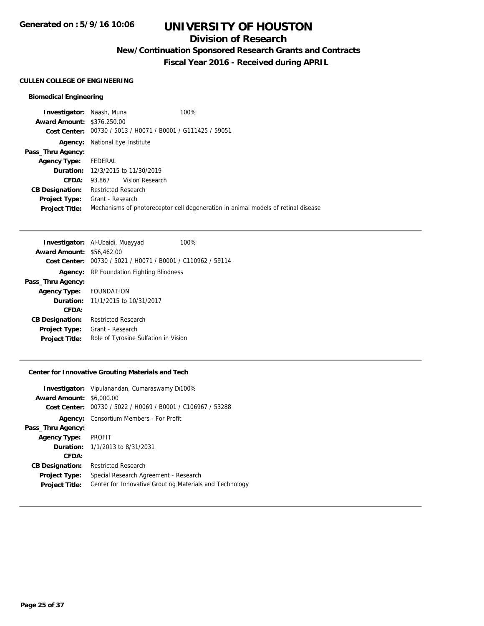## **Division of Research**

**New/Continuation Sponsored Research Grants and Contracts**

**Fiscal Year 2016 - Received during APRIL**

## **CULLEN COLLEGE OF ENGINEERING**

## **Biomedical Engineering**

| <b>Investigator: Naash, Muna</b>  |                                          |                        | 100%                                                                              |
|-----------------------------------|------------------------------------------|------------------------|-----------------------------------------------------------------------------------|
| <b>Award Amount: \$376,250.00</b> |                                          |                        |                                                                                   |
|                                   |                                          |                        | Cost Center: 00730 / 5013 / H0071 / B0001 / G111425 / 59051                       |
| Agency:                           | National Eye Institute                   |                        |                                                                                   |
| Pass_Thru Agency:                 |                                          |                        |                                                                                   |
| <b>Agency Type:</b>               | FEDERAL                                  |                        |                                                                                   |
|                                   | <b>Duration:</b> 12/3/2015 to 11/30/2019 |                        |                                                                                   |
| CFDA:                             |                                          | 93.867 Vision Research |                                                                                   |
| <b>CB Designation:</b>            | Restricted Research                      |                        |                                                                                   |
| <b>Project Type:</b>              | Grant - Research                         |                        |                                                                                   |
| <b>Project Title:</b>             |                                          |                        | Mechanisms of photoreceptor cell degeneration in animal models of retinal disease |

| <b>Investigator:</b> Al-Ubaidi, Muayyad<br>100% |
|-------------------------------------------------|
| <b>Award Amount: \$56,462.00</b>                |
| 00730 / 5021 / H0071 / B0001 / C110962 / 59114  |
| <b>Agency:</b> RP Foundation Fighting Blindness |
|                                                 |
| Agency Type: FOUNDATION                         |
| <b>Duration:</b> 11/1/2015 to 10/31/2017        |
|                                                 |
| <b>Restricted Research</b>                      |
| Grant - Research                                |
| Role of Tyrosine Sulfation in Vision            |
|                                                 |

## **Center for Innovative Grouting Materials and Tech**

| <b>Award Amount: \$6,000.00</b><br>Cost Center: 00730 / 5022 / H0069 / B0001 / C106967 / 53288<br><b>Agency:</b> Consortium Members - For Profit |  |
|--------------------------------------------------------------------------------------------------------------------------------------------------|--|
|                                                                                                                                                  |  |
|                                                                                                                                                  |  |
|                                                                                                                                                  |  |
| Pass_Thru Agency:                                                                                                                                |  |
| PROFIT<br><b>Agency Type:</b>                                                                                                                    |  |
| <b>Duration:</b> $1/1/2013$ to $8/31/2031$                                                                                                       |  |
| CFDA:                                                                                                                                            |  |
| <b>Restricted Research</b><br><b>CB Designation:</b>                                                                                             |  |
| Special Research Agreement - Research<br><b>Project Type:</b>                                                                                    |  |
| Center for Innovative Grouting Materials and Technology<br><b>Project Title:</b>                                                                 |  |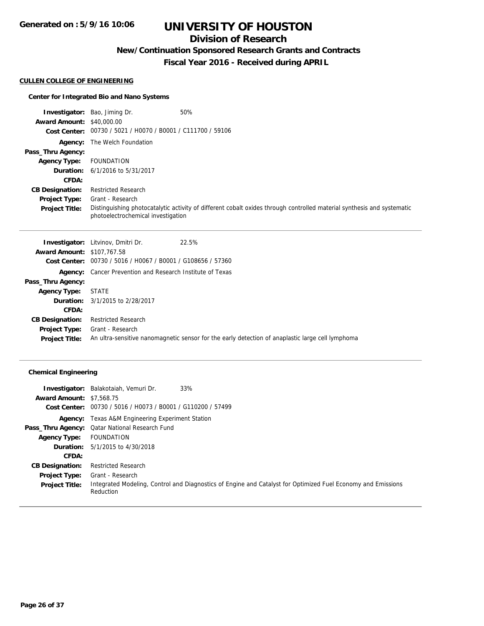## **Division of Research**

**New/Continuation Sponsored Research Grants and Contracts**

**Fiscal Year 2016 - Received during APRIL**

## **CULLEN COLLEGE OF ENGINEERING**

## **Center for Integrated Bio and Nano Systems**

|                                  | <b>Investigator:</b> Bao, Jiming Dr.                        | 50%                                                                                                                    |
|----------------------------------|-------------------------------------------------------------|------------------------------------------------------------------------------------------------------------------------|
| <b>Award Amount: \$40,000.00</b> |                                                             |                                                                                                                        |
|                                  | Cost Center: 00730 / 5021 / H0070 / B0001 / C111700 / 59106 |                                                                                                                        |
|                                  | <b>Agency:</b> The Welch Foundation                         |                                                                                                                        |
| Pass_Thru Agency:                |                                                             |                                                                                                                        |
| <b>Agency Type:</b>              | FOUNDATION                                                  |                                                                                                                        |
|                                  | <b>Duration:</b> 6/1/2016 to 5/31/2017                      |                                                                                                                        |
| <b>CFDA:</b>                     |                                                             |                                                                                                                        |
| <b>CB Designation:</b>           | <b>Restricted Research</b>                                  |                                                                                                                        |
| <b>Project Type:</b>             | Grant - Research                                            |                                                                                                                        |
| <b>Project Title:</b>            | photoelectrochemical investigation                          | Distinguishing photocatalytic activity of different cobalt oxides through controlled material synthesis and systematic |

|                                   | 22.5%<br><b>Investigator:</b> Litvinov, Dmitri Dr.               |                                                                                                  |
|-----------------------------------|------------------------------------------------------------------|--------------------------------------------------------------------------------------------------|
| <b>Award Amount: \$107,767.58</b> |                                                                  |                                                                                                  |
|                                   | Cost Center: 00730 / 5016 / H0067 / B0001 / G108656 / 57360      |                                                                                                  |
|                                   | <b>Agency:</b> Cancer Prevention and Research Institute of Texas |                                                                                                  |
| Pass_Thru Agency:                 |                                                                  |                                                                                                  |
| <b>Agency Type:</b>               | <b>STATE</b>                                                     |                                                                                                  |
|                                   | <b>Duration:</b> 3/1/2015 to 2/28/2017                           |                                                                                                  |
| CFDA:                             |                                                                  |                                                                                                  |
| <b>CB Designation:</b>            | <b>Restricted Research</b>                                       |                                                                                                  |
| <b>Project Type:</b>              | Grant - Research                                                 |                                                                                                  |
| <b>Project Title:</b>             |                                                                  | An ultra-sensitive nanomagnetic sensor for the early detection of anaplastic large cell lymphoma |

## **Chemical Engineering**

| <b>Award Amount: \$7,568.75</b> | 33%<br><b>Investigator:</b> Balakotaiah, Vemuri Dr.<br>Cost Center: 00730 / 5016 / H0073 / B0001 / G110200 / 57499        |
|---------------------------------|---------------------------------------------------------------------------------------------------------------------------|
|                                 | <b>Agency:</b> Texas A&M Engineering Experiment Station                                                                   |
|                                 | Pass_Thru Agency: Qatar National Research Fund                                                                            |
| <b>Agency Type:</b>             | FOUNDATION                                                                                                                |
|                                 | <b>Duration:</b> $5/1/2015$ to $4/30/2018$                                                                                |
| <b>CFDA:</b>                    |                                                                                                                           |
| <b>CB Designation:</b>          | <b>Restricted Research</b>                                                                                                |
| <b>Project Type:</b>            | Grant - Research                                                                                                          |
| <b>Project Title:</b>           | Integrated Modeling, Control and Diagnostics of Engine and Catalyst for Optimized Fuel Economy and Emissions<br>Reduction |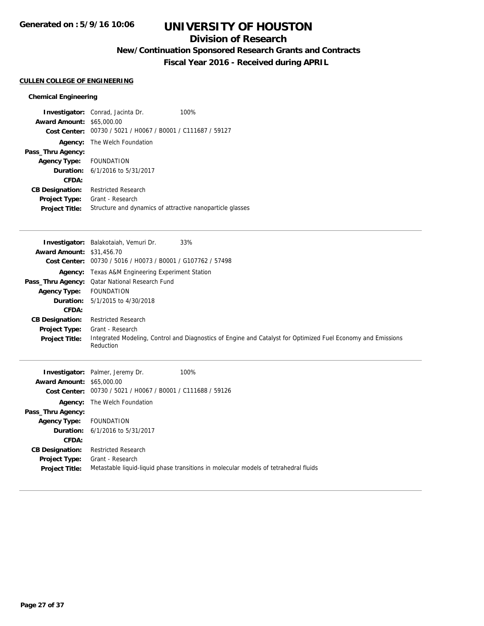## **Division of Research**

**New/Continuation Sponsored Research Grants and Contracts**

**Fiscal Year 2016 - Received during APRIL**

#### **CULLEN COLLEGE OF ENGINEERING**

## **Chemical Engineering**

|                                  | <b>Investigator:</b> Conrad, Jacinta Dr.                    | 100% |
|----------------------------------|-------------------------------------------------------------|------|
| <b>Award Amount: \$65,000.00</b> |                                                             |      |
|                                  | Cost Center: 00730 / 5021 / H0067 / B0001 / C111687 / 59127 |      |
|                                  | <b>Agency:</b> The Welch Foundation                         |      |
| Pass_Thru Agency:                |                                                             |      |
| Agency Type: FOUNDATION          |                                                             |      |
|                                  | <b>Duration:</b> 6/1/2016 to 5/31/2017                      |      |
| CFDA:                            |                                                             |      |
| <b>CB Designation:</b>           | <b>Restricted Research</b>                                  |      |
| Project Type:                    | Grant - Research                                            |      |
| <b>Project Title:</b>            | Structure and dynamics of attractive nanoparticle glasses   |      |

|                                  | 33%<br><b>Investigator:</b> Balakotaiah, Vemuri Dr.                                                                       |
|----------------------------------|---------------------------------------------------------------------------------------------------------------------------|
| <b>Award Amount: \$31,456.70</b> |                                                                                                                           |
|                                  | Cost Center: 00730 / 5016 / H0073 / B0001 / G107762 / 57498                                                               |
|                                  | <b>Agency:</b> Texas A&M Engineering Experiment Station                                                                   |
|                                  | <b>Pass_Thru Agency:</b> Qatar National Research Fund                                                                     |
| <b>Agency Type:</b>              | FOUNDATION                                                                                                                |
|                                  | <b>Duration:</b> 5/1/2015 to 4/30/2018                                                                                    |
| <b>CFDA:</b>                     |                                                                                                                           |
| <b>CB Designation:</b>           | <b>Restricted Research</b>                                                                                                |
| <b>Project Type:</b>             | Grant - Research                                                                                                          |
| <b>Project Title:</b>            | Integrated Modeling, Control and Diagnostics of Engine and Catalyst for Optimized Fuel Economy and Emissions<br>Reduction |
|                                  | <b>Investigator:</b> Palmer, Jeremy Dr.<br>100%                                                                           |
| <b>Award Amount: \$65,000.00</b> |                                                                                                                           |
|                                  | Cost Center: 00730 / 5021 / H0067 / B0001 / C111688 / 59126                                                               |
|                                  | <b>Agency:</b> The Welch Foundation                                                                                       |

**Project Title:** Metastable liquid-liquid phase transitions in molecular models of tetrahedral fluids

**Pass\_Thru Agency:**

**Agency Type:** FOUNDATION

**CB Designation:** Restricted Research **Project Type:** Grant - Research

**CFDA:**

**Duration:** 6/1/2016 to 5/31/2017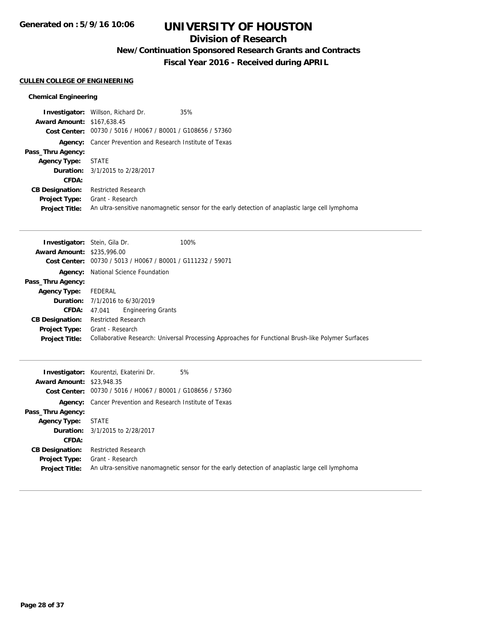## **Division of Research**

**New/Continuation Sponsored Research Grants and Contracts**

**Fiscal Year 2016 - Received during APRIL**

### **CULLEN COLLEGE OF ENGINEERING**

## **Chemical Engineering**

|                                   | <b>Investigator:</b> Willson, Richard Dr.                        | 35%                                                                                              |
|-----------------------------------|------------------------------------------------------------------|--------------------------------------------------------------------------------------------------|
| <b>Award Amount: \$167,638.45</b> |                                                                  |                                                                                                  |
|                                   | Cost Center: 00730 / 5016 / H0067 / B0001 / G108656 / 57360      |                                                                                                  |
|                                   | <b>Agency:</b> Cancer Prevention and Research Institute of Texas |                                                                                                  |
| Pass_Thru Agency:                 |                                                                  |                                                                                                  |
| <b>Agency Type:</b>               | STATE                                                            |                                                                                                  |
|                                   | <b>Duration:</b> 3/1/2015 to 2/28/2017                           |                                                                                                  |
| CFDA:                             |                                                                  |                                                                                                  |
| <b>CB Designation:</b>            | Restricted Research                                              |                                                                                                  |
| <b>Project Type:</b>              | Grant - Research                                                 |                                                                                                  |
| <b>Project Title:</b>             |                                                                  | An ultra-sensitive nanomagnetic sensor for the early detection of anaplastic large cell lymphoma |

| <b>Investigator:</b> Stein, Gila Dr. | 100%                                                                                               |
|--------------------------------------|----------------------------------------------------------------------------------------------------|
| <b>Award Amount: \$235,996.00</b>    |                                                                                                    |
|                                      | Cost Center: 00730 / 5013 / H0067 / B0001 / G111232 / 59071                                        |
|                                      | <b>Agency:</b> National Science Foundation                                                         |
| Pass_Thru Agency:                    |                                                                                                    |
| <b>Agency Type:</b>                  | FEDERAL                                                                                            |
|                                      | <b>Duration:</b> $7/1/2016$ to $6/30/2019$                                                         |
|                                      | <b>CFDA:</b> 47.041 Engineering Grants                                                             |
| <b>CB Designation:</b>               | <b>Restricted Research</b>                                                                         |
| <b>Project Type:</b>                 | Grant - Research                                                                                   |
| <b>Project Title:</b>                | Collaborative Research: Universal Processing Approaches for Functional Brush-like Polymer Surfaces |
|                                      |                                                                                                    |

| <b>Award Amount: \$23,948.35</b>              | 5%<br><b>Investigator:</b> Kourentzi, Ekaterini Dr.                                                                  |
|-----------------------------------------------|----------------------------------------------------------------------------------------------------------------------|
|                                               | Cost Center: 00730 / 5016 / H0067 / B0001 / G108656 / 57360                                                          |
|                                               | <b>Agency:</b> Cancer Prevention and Research Institute of Texas                                                     |
| Pass_Thru Agency:                             |                                                                                                                      |
| Agency Type:                                  | STATE                                                                                                                |
|                                               | <b>Duration:</b> 3/1/2015 to 2/28/2017                                                                               |
| CFDA:                                         |                                                                                                                      |
| <b>CB Designation:</b>                        | <b>Restricted Research</b>                                                                                           |
| <b>Project Type:</b><br><b>Project Title:</b> | Grant - Research<br>An ultra-sensitive nanomagnetic sensor for the early detection of anaplastic large cell lymphoma |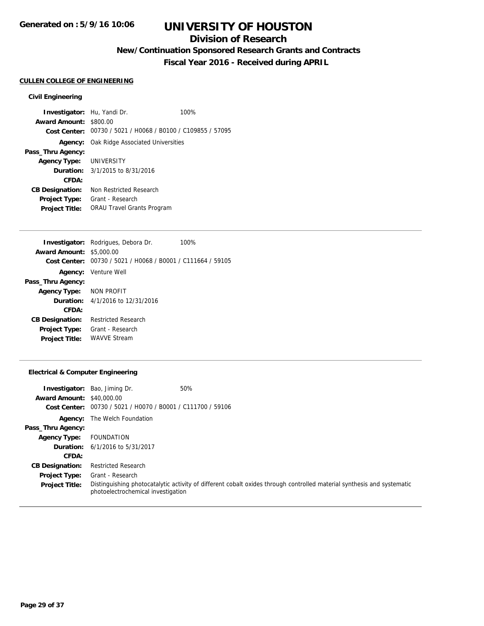## **Division of Research**

**New/Continuation Sponsored Research Grants and Contracts**

**Fiscal Year 2016 - Received during APRIL**

#### **CULLEN COLLEGE OF ENGINEERING**

### **Civil Engineering**

**Investigator:** Hu, Yandi Dr. 100% **Award Amount:** \$800.00 **Cost Center:** 00730 / 5021 / H0068 / B0100 / C109855 / 57095 **Agency:** Oak Ridge Associated Universities **Pass\_Thru Agency: Agency Type:** UNIVERSITY **Duration:** 3/1/2015 to 8/31/2016 **CFDA: CB Designation:** Non Restricted Research **Project Type:** Grant - Research **Project Title:** ORAU Travel Grants Program

|                                 | <b>Investigator:</b> Rodrigues, Debora Dr.     | 100% |
|---------------------------------|------------------------------------------------|------|
| <b>Award Amount: \$5,000.00</b> |                                                |      |
| Cost Center:                    | 00730 / 5021 / H0068 / B0001 / C111664 / 59105 |      |
|                                 | <b>Agency:</b> Venture Well                    |      |
| Pass_Thru Agency:               |                                                |      |
| Agency Type: NON PROFIT         |                                                |      |
|                                 | <b>Duration:</b> 4/1/2016 to 12/31/2016        |      |
| CFDA:                           |                                                |      |
| <b>CB Designation:</b>          | <b>Restricted Research</b>                     |      |
| <b>Project Type:</b>            | Grant - Research                               |      |
| <b>Project Title:</b>           | <b>WAVVE Stream</b>                            |      |

#### **Electrical & Computer Engineering**

|                                  | <b>Investigator:</b> Bao, Jiming Dr.           | 50%                                                                                                                    |
|----------------------------------|------------------------------------------------|------------------------------------------------------------------------------------------------------------------------|
| <b>Award Amount: \$40,000.00</b> |                                                |                                                                                                                        |
| Cost Center:                     | 00730 / 5021 / H0070 / B0001 / C111700 / 59106 |                                                                                                                        |
| Agency:                          | The Welch Foundation                           |                                                                                                                        |
| Pass_Thru Agency:                |                                                |                                                                                                                        |
| <b>Agency Type:</b>              | FOUNDATION                                     |                                                                                                                        |
|                                  | <b>Duration:</b> 6/1/2016 to 5/31/2017         |                                                                                                                        |
| CFDA:                            |                                                |                                                                                                                        |
| <b>CB Designation:</b>           | <b>Restricted Research</b>                     |                                                                                                                        |
| <b>Project Type:</b>             | Grant - Research                               |                                                                                                                        |
| <b>Project Title:</b>            | photoelectrochemical investigation             | Distinguishing photocatalytic activity of different cobalt oxides through controlled material synthesis and systematic |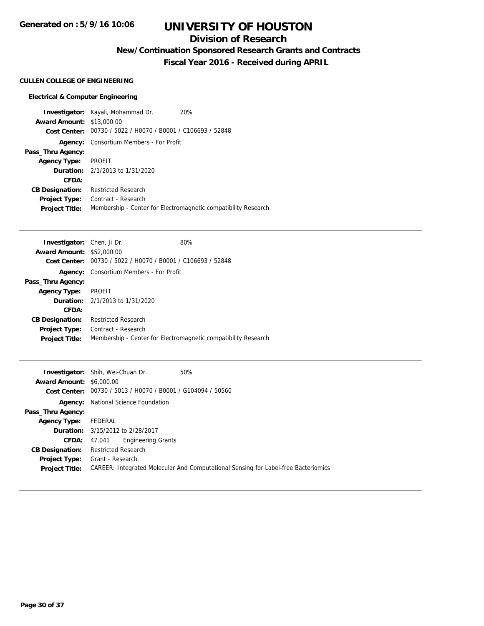## **Division of Research**

**New/Continuation Sponsored Research Grants and Contracts**

**Fiscal Year 2016 - Received during APRIL**

#### **CULLEN COLLEGE OF ENGINEERING**

#### **Electrical & Computer Engineering**

**Investigator:** Kayali, Mohammad Dr. 20% **Award Amount:** \$13,000.00 **Cost Center:** 00730 / 5022 / H0070 / B0001 / C106693 / 52848 **Agency:** Consortium Members - For Profit **Pass\_Thru Agency: Agency Type:** PROFIT **Duration:** 2/1/2013 to 1/31/2020 **CFDA: CB Designation:** Restricted Research **Project Type:** Contract - Research **Project Title:** Membership - Center for Electromagnetic compatibility Research

| <b>Investigator:</b> Chen, Ji Dr. |                                                             | 80%                                                            |
|-----------------------------------|-------------------------------------------------------------|----------------------------------------------------------------|
| <b>Award Amount: \$52,000.00</b>  |                                                             |                                                                |
|                                   | Cost Center: 00730 / 5022 / H0070 / B0001 / C106693 / 52848 |                                                                |
| Agency:                           | Consortium Members - For Profit                             |                                                                |
| Pass_Thru Agency:                 |                                                             |                                                                |
| <b>Agency Type:</b>               | PROFIT                                                      |                                                                |
|                                   | <b>Duration:</b> 2/1/2013 to 1/31/2020                      |                                                                |
| CFDA:                             |                                                             |                                                                |
| <b>CB Designation:</b>            | <b>Restricted Research</b>                                  |                                                                |
| <b>Project Type:</b>              | Contract - Research                                         |                                                                |
| <b>Project Title:</b>             |                                                             | Membership - Center for Electromagnetic compatibility Research |
|                                   |                                                             |                                                                |

|                                 | 50%<br><b>Investigator:</b> Shih, Wei-Chuan Dr.                                           |
|---------------------------------|-------------------------------------------------------------------------------------------|
| <b>Award Amount: \$6,000.00</b> |                                                                                           |
|                                 | Cost Center: 00730 / 5013 / H0070 / B0001 / G104094 / 50560                               |
| Agency:                         | National Science Foundation                                                               |
| Pass_Thru Agency:               |                                                                                           |
| <b>Agency Type:</b>             | FEDERAL                                                                                   |
|                                 | <b>Duration:</b> 3/15/2012 to 2/28/2017                                                   |
| CFDA:                           | <b>Engineering Grants</b><br>47.041                                                       |
| <b>CB Designation:</b>          | <b>Restricted Research</b>                                                                |
| <b>Project Type:</b>            | Grant - Research                                                                          |
| <b>Project Title:</b>           | <b>CAREER: Integrated Molecular And Computational Sensing for Label-free Bacteriomics</b> |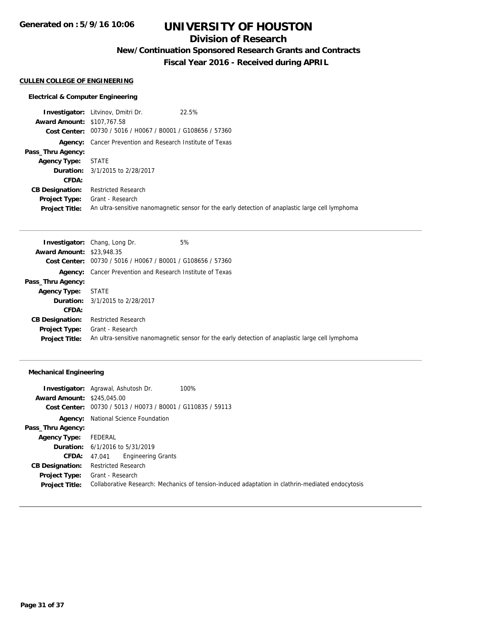**Generated on : 5/9/16 10:06**

## **UNIVERSITY OF HOUSTON**

## **Division of Research**

**New/Continuation Sponsored Research Grants and Contracts**

**Fiscal Year 2016 - Received during APRIL**

#### **CULLEN COLLEGE OF ENGINEERING**

#### **Electrical & Computer Engineering**

**Investigator:** Litvinov, Dmitri Dr. 22.5% **Award Amount:** \$107,767.58 **Cost Center:** 00730 / 5016 / H0067 / B0001 / G108656 / 57360 **Agency:** Cancer Prevention and Research Institute of Texas **Pass\_Thru Agency: Agency Type:** STATE **Duration:** 3/1/2015 to 2/28/2017 **CFDA: CB Designation:** Restricted Research **Project Type:** Grant - Research **Project Title:** An ultra-sensitive nanomagnetic sensor for the early detection of anaplastic large cell lymphoma

|                                  | <b>Investigator:</b> Chang, Long Dr.                             | 5%                                                                                               |
|----------------------------------|------------------------------------------------------------------|--------------------------------------------------------------------------------------------------|
| <b>Award Amount: \$23,948.35</b> |                                                                  |                                                                                                  |
|                                  | Cost Center: 00730 / 5016 / H0067 / B0001 / G108656 / 57360      |                                                                                                  |
|                                  | <b>Agency:</b> Cancer Prevention and Research Institute of Texas |                                                                                                  |
| Pass_Thru Agency:                |                                                                  |                                                                                                  |
| <b>Agency Type:</b>              | STATE                                                            |                                                                                                  |
|                                  | <b>Duration:</b> 3/1/2015 to 2/28/2017                           |                                                                                                  |
| CFDA:                            |                                                                  |                                                                                                  |
| <b>CB Designation:</b>           | <b>Restricted Research</b>                                       |                                                                                                  |
| <b>Project Type:</b>             | Grant - Research                                                 |                                                                                                  |
| <b>Project Title:</b>            |                                                                  | An ultra-sensitive nanomagnetic sensor for the early detection of anaplastic large cell lymphoma |

#### **Mechanical Engineering**

|                                   | 100%<br><b>Investigator:</b> Agrawal, Ashutosh Dr.                                               |
|-----------------------------------|--------------------------------------------------------------------------------------------------|
| <b>Award Amount: \$245,045.00</b> |                                                                                                  |
|                                   | Cost Center: 00730 / 5013 / H0073 / B0001 / G110835 / 59113                                      |
| Agency:                           | National Science Foundation                                                                      |
| Pass_Thru Agency:                 |                                                                                                  |
| <b>Agency Type:</b>               | FEDERAL                                                                                          |
|                                   | <b>Duration:</b> 6/1/2016 to 5/31/2019                                                           |
| <b>CFDA:</b>                      | <b>Engineering Grants</b><br>47.041                                                              |
| <b>CB Designation:</b>            | <b>Restricted Research</b>                                                                       |
| <b>Project Type:</b>              | Grant - Research                                                                                 |
| <b>Project Title:</b>             | Collaborative Research: Mechanics of tension-induced adaptation in clathrin-mediated endocytosis |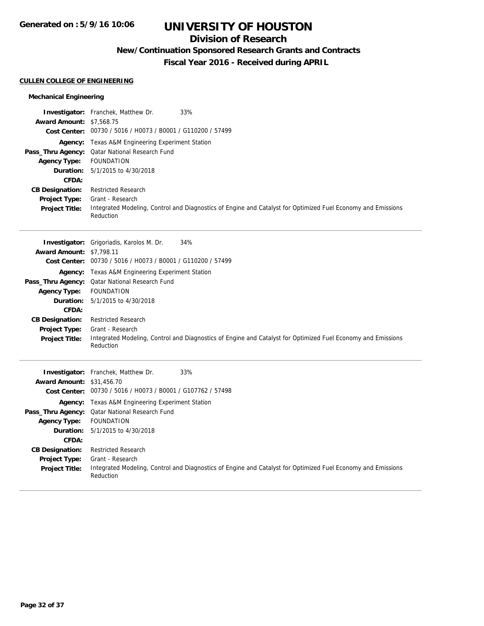## **Division of Research**

## **New/Continuation Sponsored Research Grants and Contracts**

**Fiscal Year 2016 - Received during APRIL**

#### **CULLEN COLLEGE OF ENGINEERING**

## **Mechanical Engineering**

| <b>Award Amount: \$7,568.75</b>                                                                                                                   | <b>Investigator:</b> Franchek, Matthew Dr.<br>33%<br>Cost Center: 00730 / 5016 / H0073 / B0001 / G110200 / 57499                                                                                                                                                                                                                                                                                                                                    |
|---------------------------------------------------------------------------------------------------------------------------------------------------|-----------------------------------------------------------------------------------------------------------------------------------------------------------------------------------------------------------------------------------------------------------------------------------------------------------------------------------------------------------------------------------------------------------------------------------------------------|
| <b>Agency Type:</b><br>Duration:<br>CFDA:<br><b>CB Designation:</b><br><b>Project Type:</b><br><b>Project Title:</b>                              | Agency: Texas A&M Engineering Experiment Station<br>Pass_Thru Agency: Qatar National Research Fund<br><b>FOUNDATION</b><br>5/1/2015 to 4/30/2018<br><b>Restricted Research</b><br>Grant - Research<br>Integrated Modeling, Control and Diagnostics of Engine and Catalyst for Optimized Fuel Economy and Emissions<br>Reduction                                                                                                                     |
| <b>Award Amount: \$7,798.11</b><br><b>Agency Type:</b><br>Duration:<br>CFDA:<br><b>CB Designation:</b><br>Project Type:<br><b>Project Title:</b>  | 34%<br>Investigator: Grigoriadis, Karolos M. Dr.<br>Cost Center: 00730 / 5016 / H0073 / B0001 / G110200 / 57499<br>Agency: Texas A&M Engineering Experiment Station<br>Pass_Thru Agency: Qatar National Research Fund<br><b>FOUNDATION</b><br>5/1/2015 to 4/30/2018<br><b>Restricted Research</b><br>Grant - Research<br>Integrated Modeling, Control and Diagnostics of Engine and Catalyst for Optimized Fuel Economy and Emissions<br>Reduction  |
| <b>Award Amount: \$31,456.70</b><br><b>Agency Type:</b><br>Duration:<br>CFDA:<br><b>CB Designation:</b><br>Project Type:<br><b>Project Title:</b> | 33%<br>Investigator: Franchek, Matthew Dr.<br>Cost Center: 00730 / 5016 / H0073 / B0001 / G107762 / 57498<br><b>Agency:</b> Texas A&M Engineering Experiment Station<br>Pass_Thru Agency: Qatar National Research Fund<br><b>FOUNDATION</b><br>5/1/2015 to 4/30/2018<br><b>Restricted Research</b><br>Grant - Research<br>Integrated Modeling, Control and Diagnostics of Engine and Catalyst for Optimized Fuel Economy and Emissions<br>Reduction |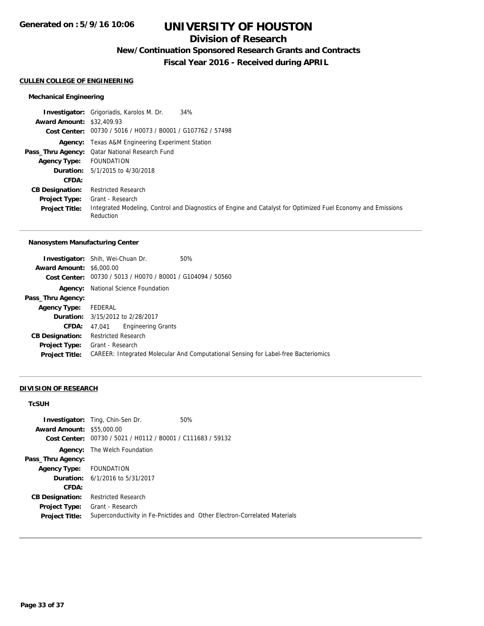## **Division of Research**

**New/Continuation Sponsored Research Grants and Contracts**

**Fiscal Year 2016 - Received during APRIL**

## **CULLEN COLLEGE OF ENGINEERING**

## **Mechanical Engineering**

|                                  | 34%<br><b>Investigator:</b> Grigoriadis, Karolos M. Dr.                                                                   |
|----------------------------------|---------------------------------------------------------------------------------------------------------------------------|
| <b>Award Amount: \$32,409.93</b> |                                                                                                                           |
|                                  | Cost Center: 00730 / 5016 / H0073 / B0001 / G107762 / 57498                                                               |
|                                  | <b>Agency:</b> Texas A&M Engineering Experiment Station                                                                   |
|                                  | <b>Pass_Thru Agency:</b> Qatar National Research Fund                                                                     |
| Agency Type:                     | FOUNDATION                                                                                                                |
|                                  | <b>Duration:</b> 5/1/2015 to 4/30/2018                                                                                    |
| CFDA:                            |                                                                                                                           |
| <b>CB Designation:</b>           | <b>Restricted Research</b>                                                                                                |
| <b>Project Type:</b>             | Grant - Research                                                                                                          |
| <b>Project Title:</b>            | Integrated Modeling, Control and Diagnostics of Engine and Catalyst for Optimized Fuel Economy and Emissions<br>Reduction |

#### **Nanosystem Manufacturing Center**

|                                 | <b>Investigator:</b> Shih, Wei-Chuan Dr.                    | 50%                                                                                       |
|---------------------------------|-------------------------------------------------------------|-------------------------------------------------------------------------------------------|
| <b>Award Amount: \$6,000.00</b> |                                                             |                                                                                           |
|                                 | Cost Center: 00730 / 5013 / H0070 / B0001 / G104094 / 50560 |                                                                                           |
| Agency:                         | National Science Foundation                                 |                                                                                           |
| Pass_Thru Agency:               |                                                             |                                                                                           |
| <b>Agency Type:</b>             | FEDERAL                                                     |                                                                                           |
|                                 | <b>Duration:</b> 3/15/2012 to 2/28/2017                     |                                                                                           |
| <b>CFDA:</b>                    | <b>Engineering Grants</b><br>47.041                         |                                                                                           |
| <b>CB Designation:</b>          | <b>Restricted Research</b>                                  |                                                                                           |
| <b>Project Type:</b>            | Grant - Research                                            |                                                                                           |
| <b>Project Title:</b>           |                                                             | <b>CAREER: Integrated Molecular And Computational Sensing for Label-free Bacteriomics</b> |

## **DIVISION OF RESEARCH**

## **TcSUH**

|                                  | <b>Investigator:</b> Ting, Chin-Sen Dr.                     | 50%                                                                       |
|----------------------------------|-------------------------------------------------------------|---------------------------------------------------------------------------|
| <b>Award Amount: \$55,000.00</b> |                                                             |                                                                           |
|                                  | Cost Center: 00730 / 5021 / H0112 / B0001 / C111683 / 59132 |                                                                           |
|                                  | <b>Agency:</b> The Welch Foundation                         |                                                                           |
| Pass_Thru Agency:                |                                                             |                                                                           |
| Agency Type: FOUNDATION          |                                                             |                                                                           |
|                                  | <b>Duration:</b> 6/1/2016 to 5/31/2017                      |                                                                           |
| CFDA:                            |                                                             |                                                                           |
| <b>CB Designation:</b>           | <b>Restricted Research</b>                                  |                                                                           |
| <b>Project Type:</b>             | Grant - Research                                            |                                                                           |
| <b>Project Title:</b>            |                                                             | Superconductivity in Fe-Pnictides and Other Electron-Correlated Materials |
|                                  |                                                             |                                                                           |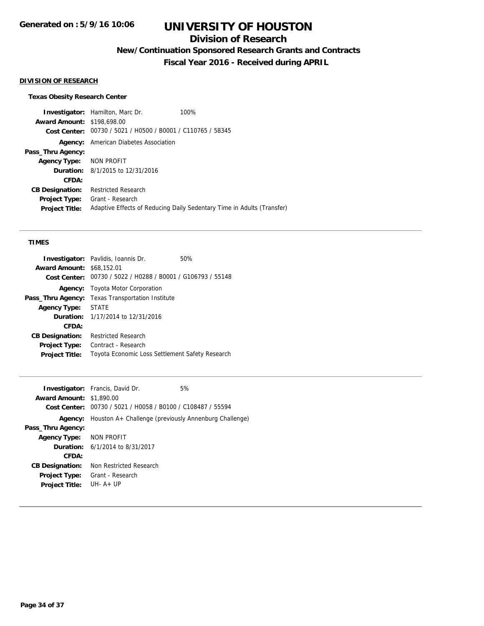## **Division of Research**

**New/Continuation Sponsored Research Grants and Contracts**

**Fiscal Year 2016 - Received during APRIL**

#### **DIVISION OF RESEARCH**

#### **Texas Obesity Research Center**

**Investigator:** Hamilton, Marc Dr. 100% **Award Amount:** \$198,698.00 **Cost Center:** 00730 / 5021 / H0500 / B0001 / C110765 / 58345 **Agency:** American Diabetes Association **Pass\_Thru Agency: Agency Type:** NON PROFIT **Duration:** 8/1/2015 to 12/31/2016 **CFDA: CB Designation:** Restricted Research **Project Type:** Grant - Research **Project Title:** Adaptive Effects of Reducing Daily Sedentary Time in Adults (Transfer)

#### **TIMES**

|                                  | <b>Investigator:</b> Pavlidis, Ioannis Dr.                  | 50% |
|----------------------------------|-------------------------------------------------------------|-----|
| <b>Award Amount: \$68,152.01</b> |                                                             |     |
|                                  | Cost Center: 00730 / 5022 / H0288 / B0001 / G106793 / 55148 |     |
| Agency:                          | Toyota Motor Corporation                                    |     |
| Pass_Thru Agency:                | <b>Texas Transportation Institute</b>                       |     |
| <b>Agency Type:</b>              | <b>STATE</b>                                                |     |
|                                  | <b>Duration:</b> 1/17/2014 to 12/31/2016                    |     |
| CFDA:                            |                                                             |     |
| <b>CB Designation:</b>           | <b>Restricted Research</b>                                  |     |
| <b>Project Type:</b>             | Contract - Research                                         |     |
| <b>Project Title:</b>            | Toyota Economic Loss Settlement Safety Research             |     |

|                                 | <b>Investigator:</b> Francis, David Dr.                                 | 5% |
|---------------------------------|-------------------------------------------------------------------------|----|
| <b>Award Amount: \$1,890.00</b> |                                                                         |    |
|                                 | Cost Center: 00730 / 5021 / H0058 / B0100 / C108487 / 55594             |    |
|                                 | <b>Agency:</b> Houston $A$ + Challenge (previously Annenburg Challenge) |    |
| Pass_Thru Agency:               |                                                                         |    |
| Agency Type: NON PROFIT         |                                                                         |    |
|                                 | <b>Duration:</b> 6/1/2014 to 8/31/2017                                  |    |
| CFDA:                           |                                                                         |    |
| <b>CB Designation:</b>          | Non Restricted Research                                                 |    |
| <b>Project Type:</b>            | Grant - Research                                                        |    |
| <b>Project Title:</b>           | $IJIH - A + IJP$                                                        |    |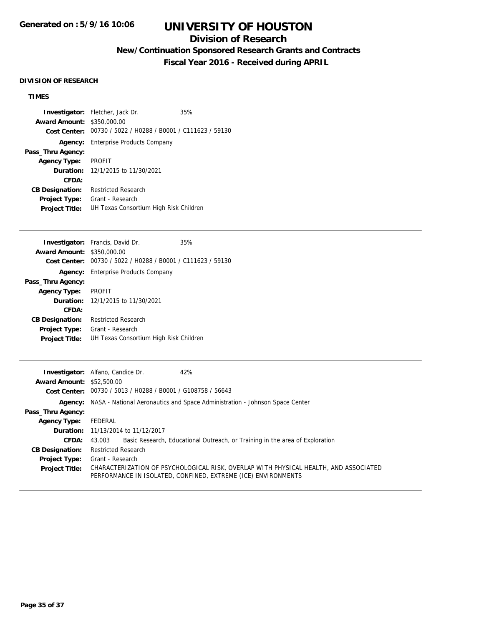## **Division of Research**

## **New/Continuation Sponsored Research Grants and Contracts**

**Fiscal Year 2016 - Received during APRIL**

#### **DIVISION OF RESEARCH**

## **TIMES**

|                                   | <b>Investigator:</b> Fletcher, Jack Dr.                     | 35% |
|-----------------------------------|-------------------------------------------------------------|-----|
| <b>Award Amount: \$350,000.00</b> |                                                             |     |
|                                   | Cost Center: 00730 / 5022 / H0288 / B0001 / C111623 / 59130 |     |
|                                   | Agency: Enterprise Products Company                         |     |
| Pass_Thru Agency:                 |                                                             |     |
| <b>Agency Type: PROFIT</b>        |                                                             |     |
|                                   | <b>Duration:</b> 12/1/2015 to 11/30/2021                    |     |
| CFDA:                             |                                                             |     |
| <b>CB Designation:</b>            | <b>Restricted Research</b>                                  |     |
| Project Type:                     | Grant - Research                                            |     |
| <b>Project Title:</b>             | UH Texas Consortium High Risk Children                      |     |

|                        | <b>Investigator:</b> Francis, David Dr.        | 35% |
|------------------------|------------------------------------------------|-----|
| <b>Award Amount:</b>   | \$350,000.00                                   |     |
| Cost Center:           | 00730 / 5022 / H0288 / B0001 / C111623 / 59130 |     |
| Agency:                | <b>Enterprise Products Company</b>             |     |
| Pass_Thru Agency:      |                                                |     |
| <b>Agency Type:</b>    | <b>PROFIT</b>                                  |     |
|                        | <b>Duration:</b> $12/1/2015$ to $11/30/2021$   |     |
| CFDA:                  |                                                |     |
| <b>CB Designation:</b> | Restricted Research                            |     |
| <b>Project Type:</b>   | Grant - Research                               |     |
| <b>Project Title:</b>  | UH Texas Consortium High Risk Children         |     |
|                        |                                                |     |

|                                  | <b>Investigator:</b> Alfano, Candice Dr.<br>42%                                                                                                       |
|----------------------------------|-------------------------------------------------------------------------------------------------------------------------------------------------------|
| <b>Award Amount: \$52,500.00</b> |                                                                                                                                                       |
|                                  | Cost Center: 00730 / 5013 / H0288 / B0001 / G108758 / 56643                                                                                           |
|                                  | <b>Agency:</b> NASA - National Aeronautics and Space Administration - Johnson Space Center                                                            |
| Pass_Thru Agency:                |                                                                                                                                                       |
| <b>Agency Type:</b>              | FEDERAL                                                                                                                                               |
|                                  | <b>Duration:</b> 11/13/2014 to 11/12/2017                                                                                                             |
| <b>CFDA:</b>                     | Basic Research, Educational Outreach, or Training in the area of Exploration<br>43.003                                                                |
| <b>CB Designation:</b>           | Restricted Research                                                                                                                                   |
| Project Type:                    | Grant - Research                                                                                                                                      |
| <b>Project Title:</b>            | CHARACTERIZATION OF PSYCHOLOGICAL RISK, OVERLAP WITH PHYSICAL HEALTH, AND ASSOCIATED<br>PERFORMANCE IN ISOLATED, CONFINED, EXTREME (ICE) ENVIRONMENTS |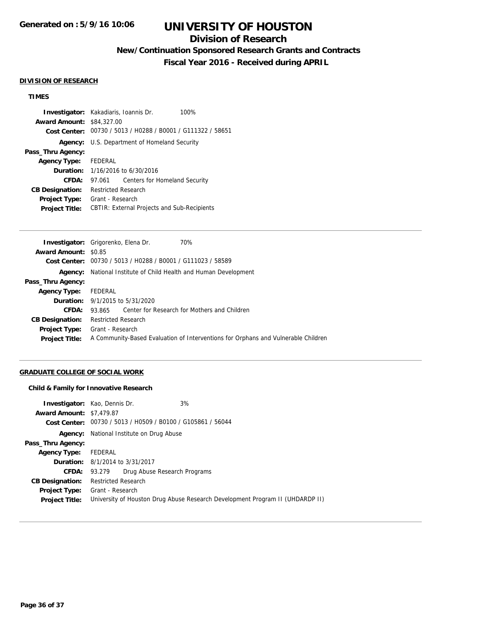## **Division of Research**

**New/Continuation Sponsored Research Grants and Contracts**

**Fiscal Year 2016 - Received during APRIL**

#### **DIVISION OF RESEARCH**

## **TIMES**

|                                  | <b>Investigator:</b> Kakadiaris, Ioannis Dr.<br>100%        |
|----------------------------------|-------------------------------------------------------------|
| <b>Award Amount: \$84,327.00</b> |                                                             |
|                                  | Cost Center: 00730 / 5013 / H0288 / B0001 / G111322 / 58651 |
|                                  | <b>Agency:</b> U.S. Department of Homeland Security         |
| Pass_Thru Agency:                |                                                             |
| <b>Agency Type:</b>              | FEDERAL                                                     |
| <b>Duration:</b>                 | 1/16/2016 to 6/30/2016                                      |
| CFDA:                            | Centers for Homeland Security<br>97.061                     |
| <b>CB Designation:</b>           | <b>Restricted Research</b>                                  |
| Project Type:                    | Grant - Research                                            |
| <b>Project Title:</b>            | <b>CBTIR: External Projects and Sub-Recipients</b>          |

|                             | Investigator: Grigorenko, Elena Dr.<br>70%                                        |  |  |
|-----------------------------|-----------------------------------------------------------------------------------|--|--|
| <b>Award Amount: \$0.85</b> |                                                                                   |  |  |
|                             | Cost Center: 00730 / 5013 / H0288 / B0001 / G111023 / 58589                       |  |  |
|                             | <b>Agency:</b> National Institute of Child Health and Human Development           |  |  |
| Pass_Thru Agency:           |                                                                                   |  |  |
| <b>Agency Type:</b>         | FEDERAL                                                                           |  |  |
|                             | <b>Duration:</b> 9/1/2015 to 5/31/2020                                            |  |  |
| <b>CFDA:</b>                | 93.865 Center for Research for Mothers and Children                               |  |  |
| <b>CB Designation:</b>      | <b>Restricted Research</b>                                                        |  |  |
| <b>Project Type:</b>        | Grant - Research                                                                  |  |  |
| <b>Project Title:</b>       | A Community-Based Evaluation of Interventions for Orphans and Vulnerable Children |  |  |
|                             |                                                                                   |  |  |

## **GRADUATE COLLEGE OF SOCIAL WORK**

#### **Child & Family for Innovative Research**

|                                 | <b>Investigator:</b> Kao, Dennis Dr.                                          | 3% |  |  |
|---------------------------------|-------------------------------------------------------------------------------|----|--|--|
| <b>Award Amount: \$7,479.87</b> |                                                                               |    |  |  |
|                                 | Cost Center: 00730 / 5013 / H0509 / B0100 / G105861 / 56044                   |    |  |  |
| Agency:                         | National Institute on Drug Abuse                                              |    |  |  |
| Pass_Thru Agency:               |                                                                               |    |  |  |
| <b>Agency Type:</b>             | FEDERAL                                                                       |    |  |  |
|                                 | <b>Duration:</b> 8/1/2014 to 3/31/2017                                        |    |  |  |
| <b>CFDA:</b>                    | Drug Abuse Research Programs<br>93.279                                        |    |  |  |
| <b>CB Designation:</b>          | <b>Restricted Research</b>                                                    |    |  |  |
| <b>Project Type:</b>            | Grant - Research                                                              |    |  |  |
| <b>Project Title:</b>           | University of Houston Drug Abuse Research Development Program II (UHDARDP II) |    |  |  |